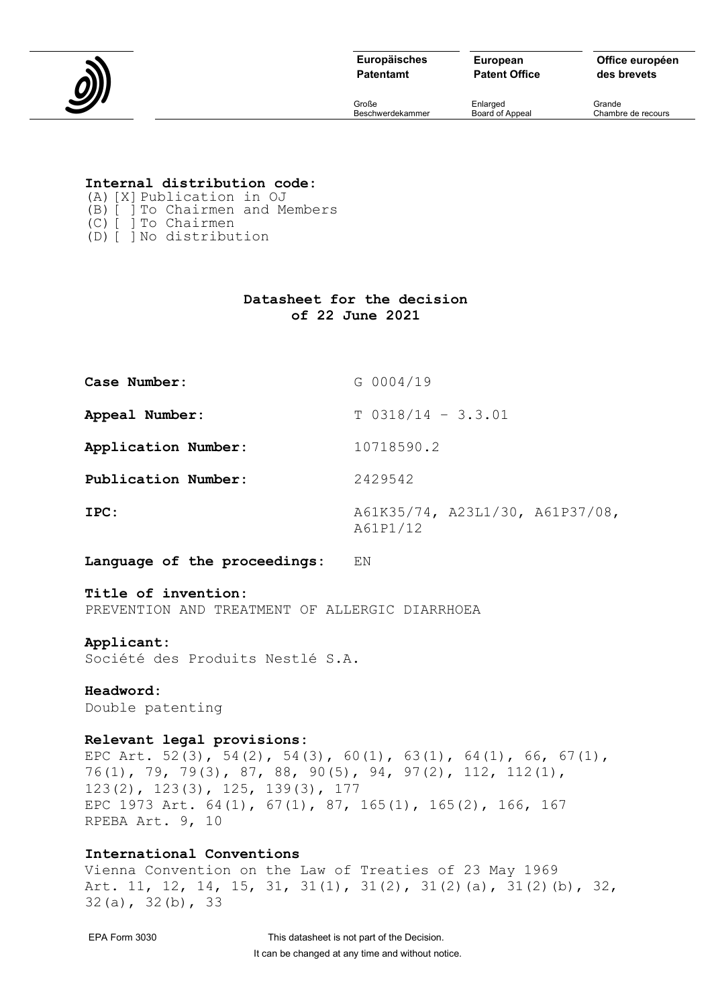

**Patentamt**

**European Patent Office** **Office européen des brevets**

Große Enlarged Grande

Chambre de recours

# **Internal distribution code:**

- (A)[X]Publication in OJ
- (B)[ ]To Chairmen and Members
- (C)[ ]To Chairmen (D)[ ]No distribution
- 

# **Datasheet for the decision of 22 June 2021**

| Case Number:        | G 0004/19                                   |
|---------------------|---------------------------------------------|
| Appeal Number:      | $T 0318/14 - 3.3.01$                        |
| Application Number: | 10718590.2                                  |
| Publication Number: | 2429542                                     |
| IPC:                | A61K35/74, A23L1/30, A61P37/08,<br>A61P1/12 |

**Language of the proceedings:** EN

#### **Title of invention:**

PREVENTION AND TREATMENT OF ALLERGIC DIARRHOEA

# **Applicant:**

Société des Produits Nestlé S.A.

# **Headword:**

Double patenting

# **Relevant legal provisions:**

EPC Art. 52(3), 54(2), 54(3), 60(1), 63(1), 64(1), 66, 67(1), 76(1), 79, 79(3), 87, 88, 90(5), 94, 97(2), 112, 112(1), 123(2), 123(3), 125, 139(3), 177 EPC 1973 Art. 64(1), 67(1), 87, 165(1), 165(2), 166, 167 RPEBA Art. 9, 10

# **International Conventions**

Vienna Convention on the Law of Treaties of 23 May 1969 Art. 11, 12, 14, 15, 31, 31(1), 31(2), 31(2)(a), 31(2)(b), 32, 32(a), 32(b), 33

EPA Form 3030 This datasheet is not part of the Decision. It can be changed at any time and without notice.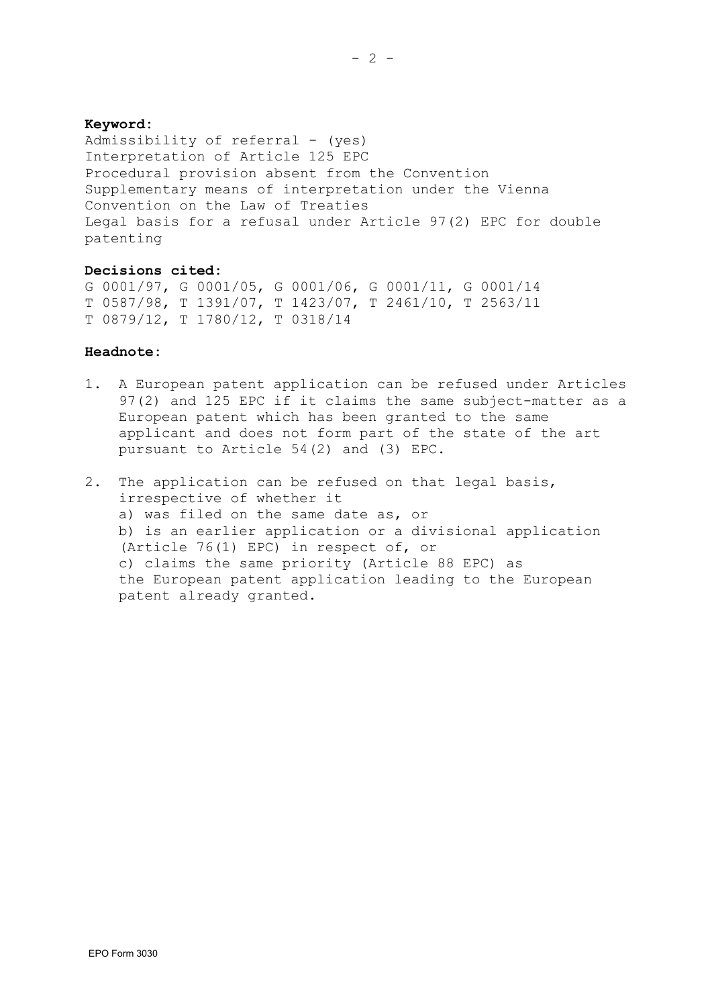## **Keyword:**

Admissibility of referral - (yes) Interpretation of Article 125 EPC Procedural provision absent from the Convention Supplementary means of interpretation under the Vienna Convention on the Law of Treaties Legal basis for a refusal under Article 97(2) EPC for double patenting

#### **Decisions cited:**

G 0001/97, G 0001/05, G 0001/06, G 0001/11, G 0001/14 T 0587/98, T 1391/07, T 1423/07, T 2461/10, T 2563/11 T 0879/12, T 1780/12, T 0318/14

#### **Headnote:**

- 1. A European patent application can be refused under Articles 97(2) and 125 EPC if it claims the same subject-matter as a European patent which has been granted to the same applicant and does not form part of the state of the art pursuant to Article 54(2) and (3) EPC.
- 2. The application can be refused on that legal basis, irrespective of whether it a) was filed on the same date as, or b) is an earlier application or a divisional application (Article 76(1) EPC) in respect of, or c) claims the same priority (Article 88 EPC) as the European patent application leading to the European patent already granted.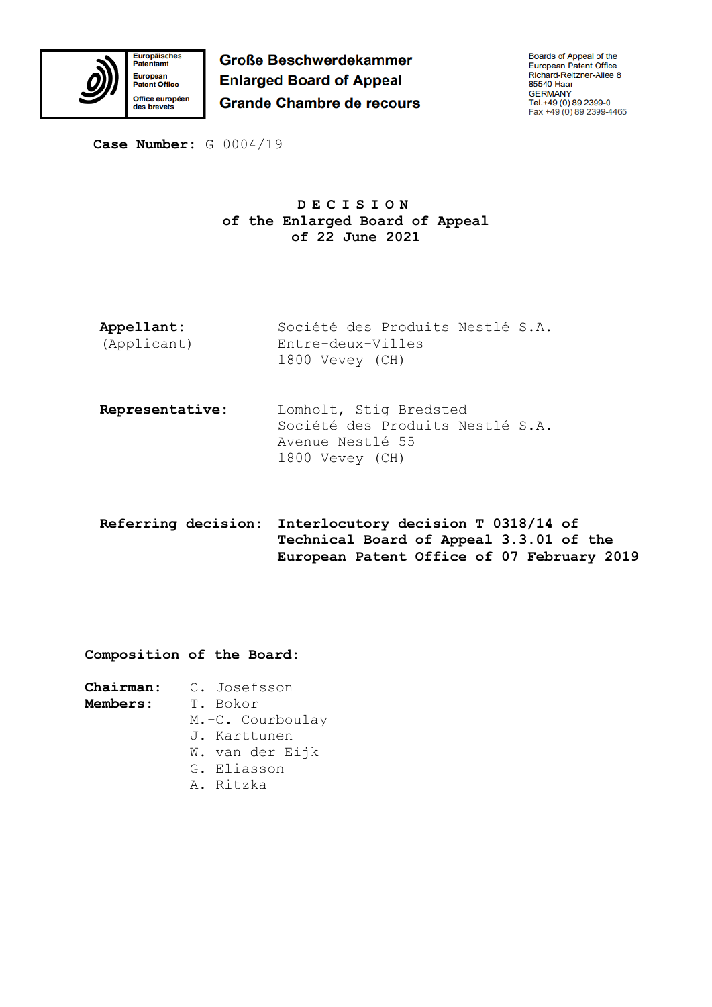

**Große Beschwerdekammer Enlarged Board of Appeal Grande Chambre de recours**  Boards of Appeal of the<br>European Patent Office<br>Richard-Reitzner-Allee 8 85540 Haar GERMANY<br>Tel.+49 (0) 89 2399-0<br>Fax +49 (0) 89 2399-4465

**Case Number:** G 0004/19

# **DECISION of the Enlarged Board of Appeal of 22 June 2021**

- **Appellant:** (Applicant) Société des Produits Nestlé S.A. Entre-deux-Villes 1800 Vevey (CH)
- **Representative:** Lomholt, Stig Bredsted Société des Produits Nestlé S.A. Avenue Nestlé 55 1800 Vevey (CH)
- **Referring decision: Interlocutory decision T 0318/14 of Technical Board of Appeal 3.3.01 of the European Patent Office of 07 February 2019**

**Composition of the Board:**

## **Members:** T. Bokor

- M.-C. Courboulay
- J. Karttunen
- W. van der Eijk
- G. Eliasson
- A. Ritzka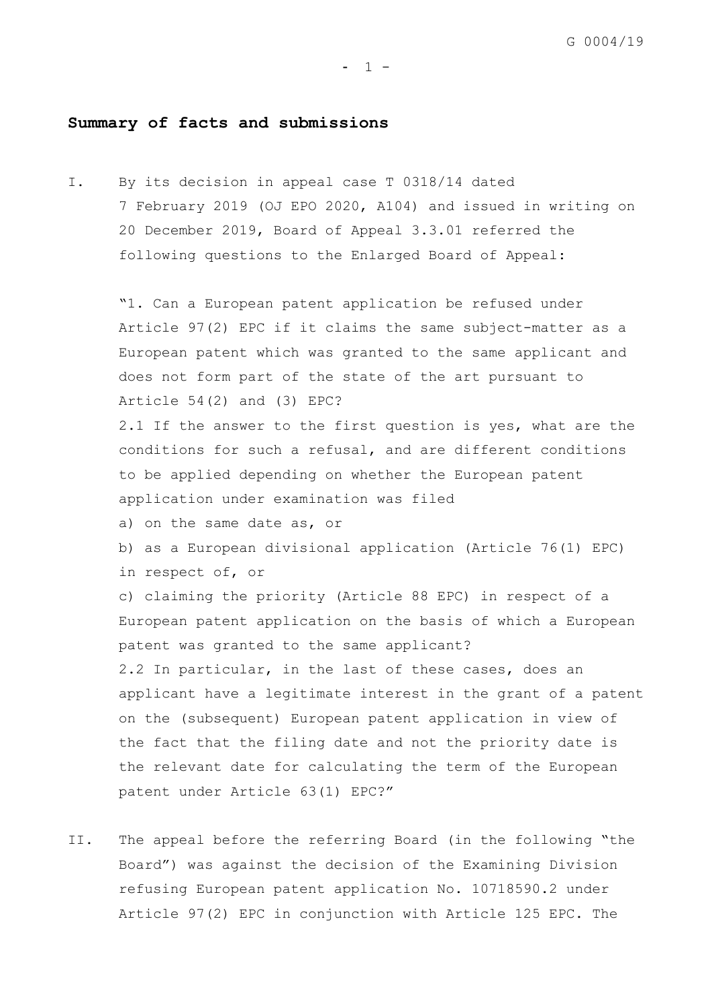# **Summary of facts and submissions**

I. By its decision in appeal case T 0318/14 dated 7 February 2019 (OJ EPO 2020, A104) and issued in writing on 20 December 2019, Board of Appeal 3.3.01 referred the following questions to the Enlarged Board of Appeal:

"1. Can a European patent application be refused under Article 97(2) EPC if it claims the same subject-matter as a European patent which was granted to the same applicant and does not form part of the state of the art pursuant to Article 54(2) and (3) EPC?

2.1 If the answer to the first question is yes, what are the conditions for such a refusal, and are different conditions to be applied depending on whether the European patent application under examination was filed

a) on the same date as, or

b) as a European divisional application (Article 76(1) EPC) in respect of, or

c) claiming the priority (Article 88 EPC) in respect of a European patent application on the basis of which a European patent was granted to the same applicant?

2.2 In particular, in the last of these cases, does an applicant have a legitimate interest in the grant of a patent on the (subsequent) European patent application in view of the fact that the filing date and not the priority date is the relevant date for calculating the term of the European patent under Article 63(1) EPC?"

II. The appeal before the referring Board (in the following "the Board") was against the decision of the Examining Division refusing European patent application No. 10718590.2 under Article 97(2) EPC in conjunction with Article 125 EPC. The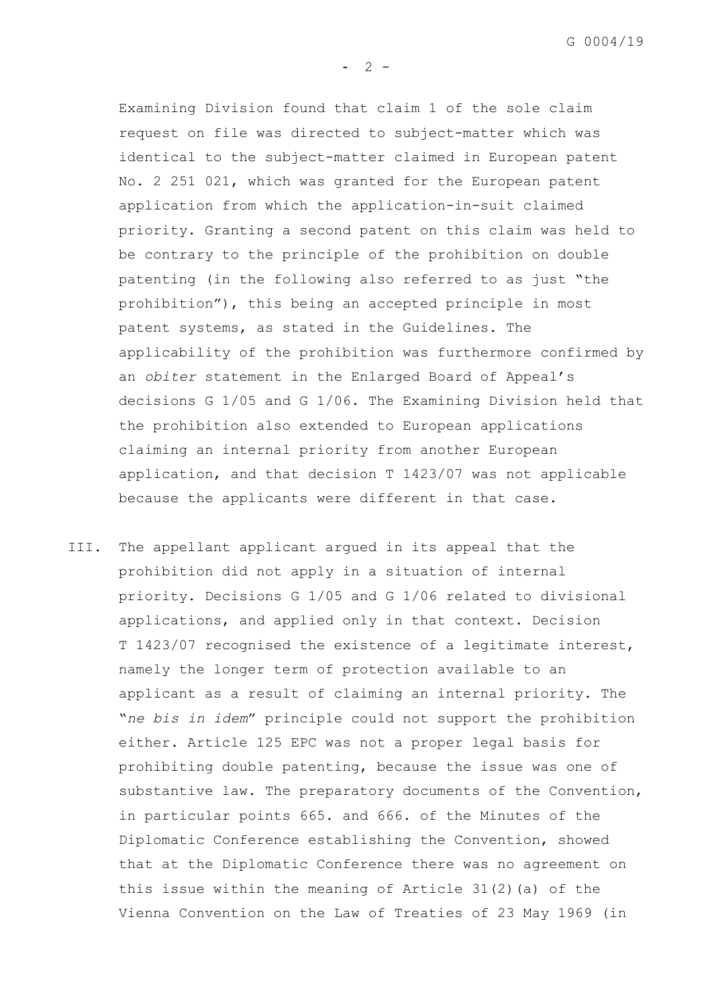$- 2 -$ 

Examining Division found that claim 1 of the sole claim request on file was directed to subject-matter which was identical to the subject-matter claimed in European patent No. 2 251 021, which was granted for the European patent application from which the application-in-suit claimed priority. Granting a second patent on this claim was held to be contrary to the principle of the prohibition on double patenting (in the following also referred to as just "the prohibition"), this being an accepted principle in most patent systems, as stated in the Guidelines. The applicability of the prohibition was furthermore confirmed by an *obiter* statement in the Enlarged Board of Appeal's decisions G 1/05 and G 1/06. The Examining Division held that the prohibition also extended to European applications claiming an internal priority from another European application, and that decision T 1423/07 was not applicable because the applicants were different in that case.

III. The appellant applicant argued in its appeal that the prohibition did not apply in a situation of internal priority. Decisions G 1/05 and G 1/06 related to divisional applications, and applied only in that context. Decision T 1423/07 recognised the existence of a legitimate interest, namely the longer term of protection available to an applicant as a result of claiming an internal priority. The "*ne bis in idem*" principle could not support the prohibition either. Article 125 EPC was not a proper legal basis for prohibiting double patenting, because the issue was one of substantive law. The preparatory documents of the Convention, in particular points 665. and 666. of the Minutes of the Diplomatic Conference establishing the Convention, showed that at the Diplomatic Conference there was no agreement on this issue within the meaning of Article 31(2)(a) of the Vienna Convention on the Law of Treaties of 23 May 1969 (in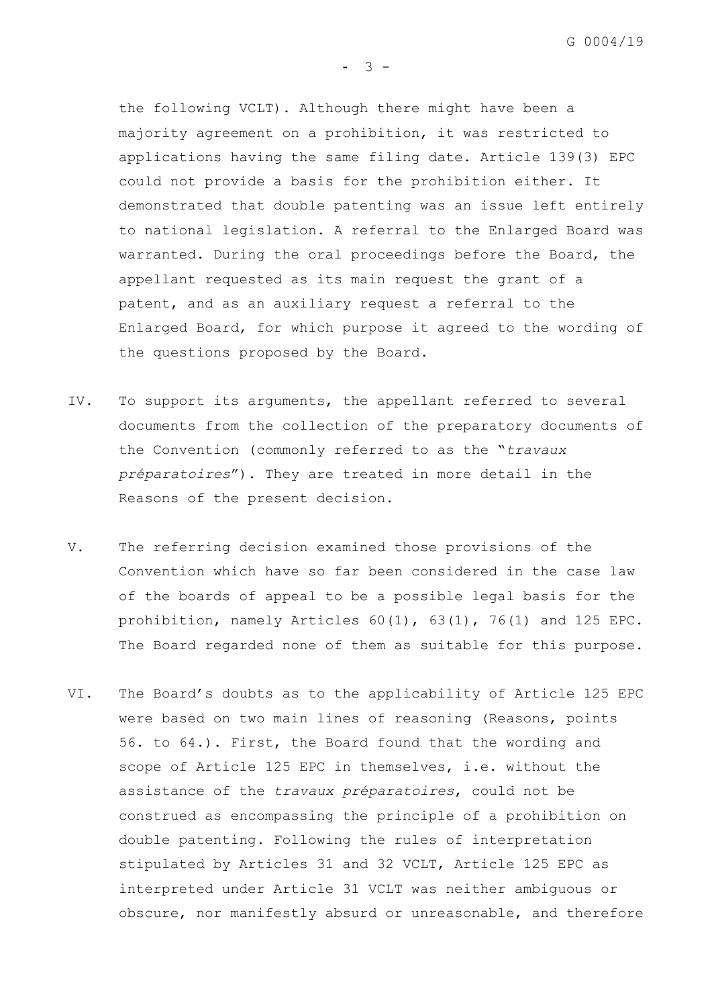G 0004/19

the following VCLT). Although there might have been a majority agreement on a prohibition, it was restricted to applications having the same filing date. Article 139(3) EPC could not provide a basis for the prohibition either. It demonstrated that double patenting was an issue left entirely to national legislation. A referral to the Enlarged Board was warranted. During the oral proceedings before the Board, the appellant requested as its main request the grant of a patent, and as an auxiliary request a referral to the Enlarged Board, for which purpose it agreed to the wording of the questions proposed by the Board.

 $- 3 -$ 

- IV. To support its arguments, the appellant referred to several documents from the collection of the preparatory documents of the Convention (commonly referred to as the "*travaux préparatoires*"). They are treated in more detail in the Reasons of the present decision.
- V. The referring decision examined those provisions of the Convention which have so far been considered in the case law of the boards of appeal to be a possible legal basis for the prohibition, namely Articles 60(1), 63(1), 76(1) and 125 EPC. The Board regarded none of them as suitable for this purpose.
- VI. The Board's doubts as to the applicability of Article 125 EPC were based on two main lines of reasoning (Reasons, points 56. to 64.). First, the Board found that the wording and scope of Article 125 EPC in themselves, i.e. without the assistance of the *travaux préparatoires*, could not be construed as encompassing the principle of a prohibition on double patenting. Following the rules of interpretation stipulated by Articles 31 and 32 VCLT, Article 125 EPC as interpreted under Article 31 VCLT was neither ambiguous or obscure, nor manifestly absurd or unreasonable, and therefore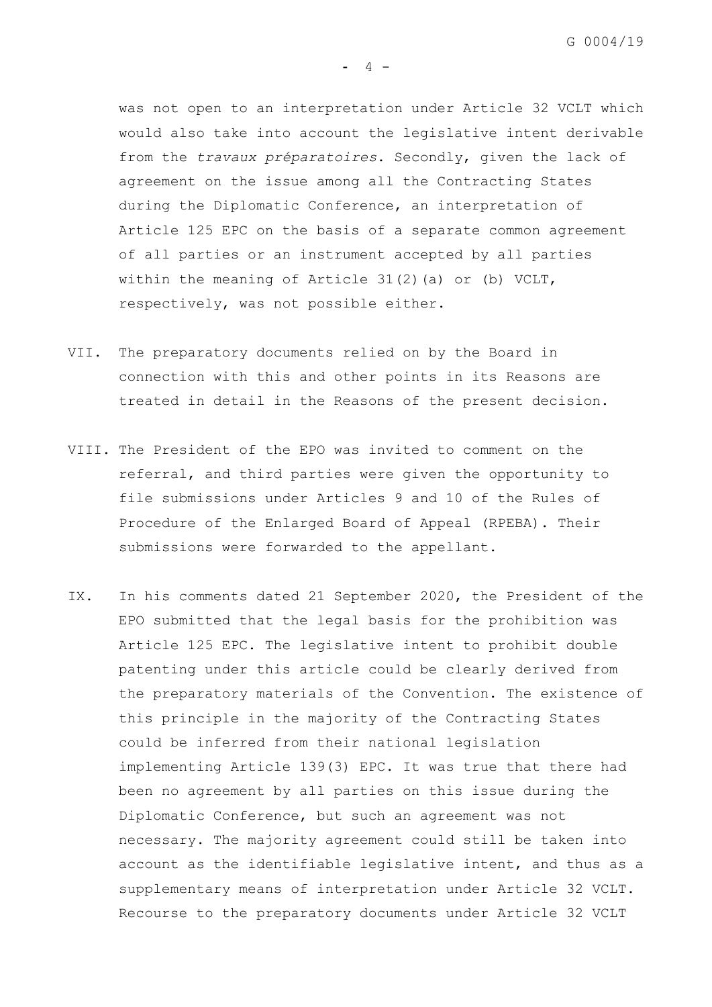was not open to an interpretation under Article 32 VCLT which would also take into account the legislative intent derivable from the *travaux préparatoires*. Secondly, given the lack of agreement on the issue among all the Contracting States during the Diplomatic Conference, an interpretation of Article 125 EPC on the basis of a separate common agreement of all parties or an instrument accepted by all parties within the meaning of Article 31(2)(a) or (b) VCLT, respectively, was not possible either.

- VII. The preparatory documents relied on by the Board in connection with this and other points in its Reasons are treated in detail in the Reasons of the present decision.
- VIII. The President of the EPO was invited to comment on the referral, and third parties were given the opportunity to file submissions under Articles 9 and 10 of the Rules of Procedure of the Enlarged Board of Appeal (RPEBA). Their submissions were forwarded to the appellant.
- IX. In his comments dated 21 September 2020, the President of the EPO submitted that the legal basis for the prohibition was Article 125 EPC. The legislative intent to prohibit double patenting under this article could be clearly derived from the preparatory materials of the Convention. The existence of this principle in the majority of the Contracting States could be inferred from their national legislation implementing Article 139(3) EPC. It was true that there had been no agreement by all parties on this issue during the Diplomatic Conference, but such an agreement was not necessary. The majority agreement could still be taken into account as the identifiable legislative intent, and thus as a supplementary means of interpretation under Article 32 VCLT. Recourse to the preparatory documents under Article 32 VCLT

 $- 4 -$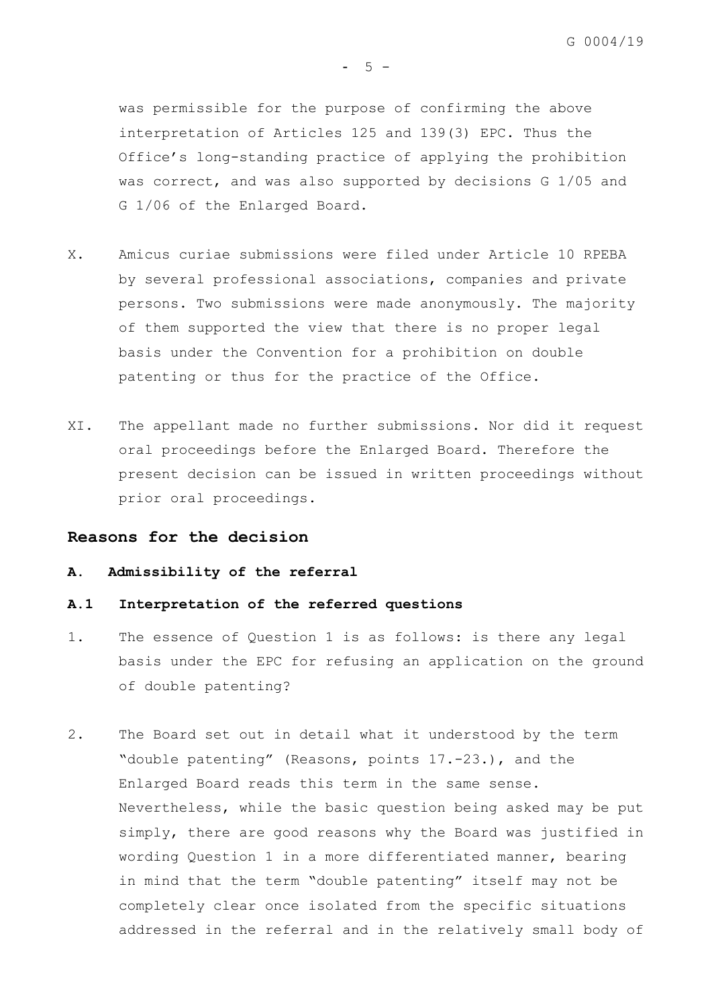was permissible for the purpose of confirming the above interpretation of Articles 125 and 139(3) EPC. Thus the Office's long-standing practice of applying the prohibition was correct, and was also supported by decisions G 1/05 and G 1/06 of the Enlarged Board.

- X. Amicus curiae submissions were filed under Article 10 RPEBA by several professional associations, companies and private persons. Two submissions were made anonymously. The majority of them supported the view that there is no proper legal basis under the Convention for a prohibition on double patenting or thus for the practice of the Office.
- XI. The appellant made no further submissions. Nor did it request oral proceedings before the Enlarged Board. Therefore the present decision can be issued in written proceedings without prior oral proceedings.

### **Reasons for the decision**

## **A. Admissibility of the referral**

#### **A.1 Interpretation of the referred questions**

- 1. The essence of Question 1 is as follows: is there any legal basis under the EPC for refusing an application on the ground of double patenting?
- <span id="page-7-0"></span>2. The Board set out in detail what it understood by the term "double patenting" (Reasons, points 17.-23.), and the Enlarged Board reads this term in the same sense. Nevertheless, while the basic question being asked may be put simply, there are good reasons why the Board was justified in wording Question 1 in a more differentiated manner, bearing in mind that the term "double patenting" itself may not be completely clear once isolated from the specific situations addressed in the referral and in the relatively small body of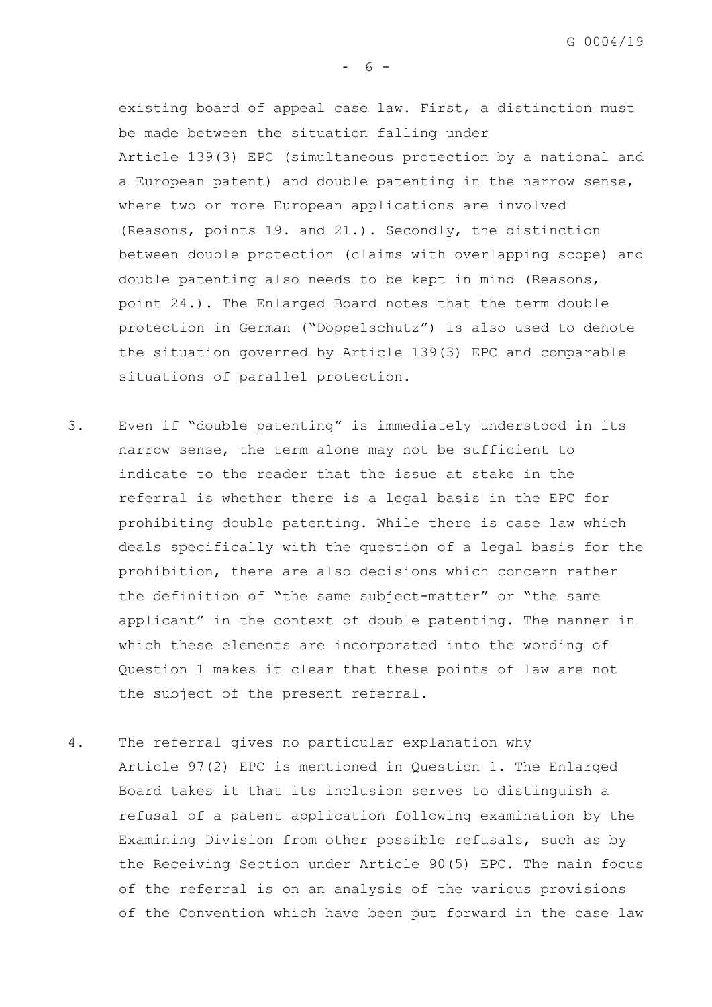G 0004/19

existing board of appeal case law. First, a distinction must be made between the situation falling under Article 139(3) EPC (simultaneous protection by a national and a European patent) and double patenting in the narrow sense, where two or more European applications are involved (Reasons, points 19. and 21.). Secondly, the distinction between double protection (claims with overlapping scope) and double patenting also needs to be kept in mind (Reasons, point 24.). The Enlarged Board notes that the term double protection in German ("Doppelschutz") is also used to denote the situation governed by Article 139(3) EPC and comparable situations of parallel protection.

- 3. Even if "double patenting" is immediately understood in its narrow sense, the term alone may not be sufficient to indicate to the reader that the issue at stake in the referral is whether there is a legal basis in the EPC for prohibiting double patenting. While there is case law which deals specifically with the question of a legal basis for the prohibition, there are also decisions which concern rather the definition of "the same subject-matter" or "the same applicant" in the context of double patenting. The manner in which these elements are incorporated into the wording of Question 1 makes it clear that these points of law are not the subject of the present referral.
- 4. The referral gives no particular explanation why Article 97(2) EPC is mentioned in Question 1. The Enlarged Board takes it that its inclusion serves to distinguish a refusal of a patent application following examination by the Examining Division from other possible refusals, such as by the Receiving Section under Article 90(5) EPC. The main focus of the referral is on an analysis of the various provisions of the Convention which have been put forward in the case law

 $- 6 -$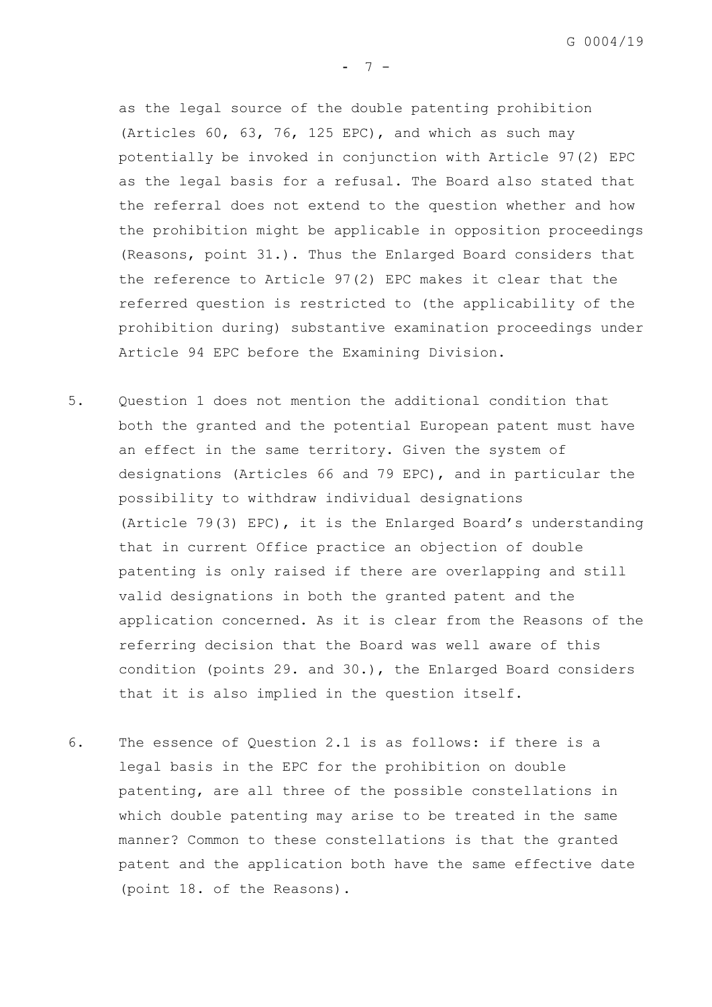as the legal source of the double patenting prohibition (Articles 60, 63, 76, 125 EPC), and which as such may potentially be invoked in conjunction with Article 97(2) EPC as the legal basis for a refusal. The Board also stated that the referral does not extend to the question whether and how the prohibition might be applicable in opposition proceedings (Reasons, point 31.). Thus the Enlarged Board considers that the reference to Article 97(2) EPC makes it clear that the referred question is restricted to (the applicability of the prohibition during) substantive examination proceedings under Article 94 EPC before the Examining Division.

- 5. Question 1 does not mention the additional condition that both the granted and the potential European patent must have an effect in the same territory. Given the system of designations (Articles 66 and 79 EPC), and in particular the possibility to withdraw individual designations (Article 79(3) EPC), it is the Enlarged Board's understanding that in current Office practice an objection of double patenting is only raised if there are overlapping and still valid designations in both the granted patent and the application concerned. As it is clear from the Reasons of the referring decision that the Board was well aware of this condition (points 29. and 30.), the Enlarged Board considers that it is also implied in the question itself.
- 6. The essence of Question 2.1 is as follows: if there is a legal basis in the EPC for the prohibition on double patenting, are all three of the possible constellations in which double patenting may arise to be treated in the same manner? Common to these constellations is that the granted patent and the application both have the same effective date (point 18. of the Reasons).

 $- 7 -$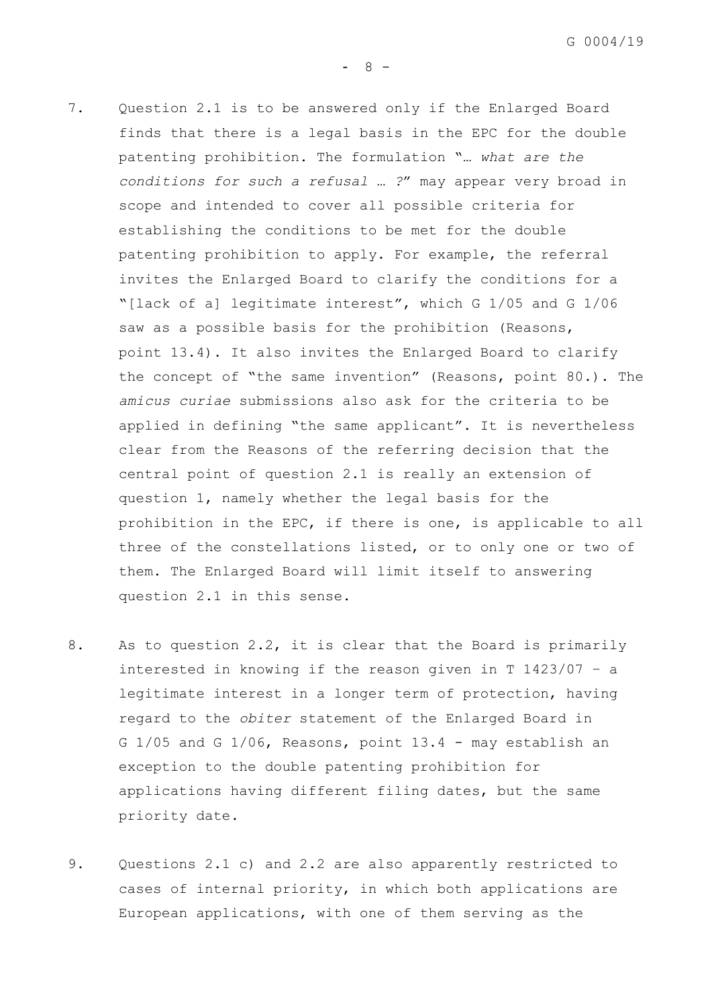$- 8 -$ 

- <span id="page-10-0"></span>7. Question 2.1 is to be answered only if the Enlarged Board finds that there is a legal basis in the EPC for the double patenting prohibition. The formulation "*… what are the conditions for such a refusal … ?*" may appear very broad in scope and intended to cover all possible criteria for establishing the conditions to be met for the double patenting prohibition to apply. For example, the referral invites the Enlarged Board to clarify the conditions for a "[lack of a] legitimate interest", which G 1/05 and G 1/06 saw as a possible basis for the prohibition (Reasons, point 13.4). It also invites the Enlarged Board to clarify the concept of "the same invention" (Reasons, point 80.). The *amicus curiae* submissions also ask for the criteria to be applied in defining "the same applicant". It is nevertheless clear from the Reasons of the referring decision that the central point of question 2.1 is really an extension of question 1, namely whether the legal basis for the prohibition in the EPC, if there is one, is applicable to all three of the constellations listed, or to only one or two of them. The Enlarged Board will limit itself to answering question 2.1 in this sense.
- 8. As to question 2.2, it is clear that the Board is primarily interested in knowing if the reason given in T 1423/07 – a legitimate interest in a longer term of protection, having regard to the *obiter* statement of the Enlarged Board in G 1/05 and G 1/06, Reasons, point 13.4 - may establish an exception to the double patenting prohibition for applications having different filing dates, but the same priority date.
- <span id="page-10-1"></span>9. Questions 2.1 c) and 2.2 are also apparently restricted to cases of internal priority, in which both applications are European applications, with one of them serving as the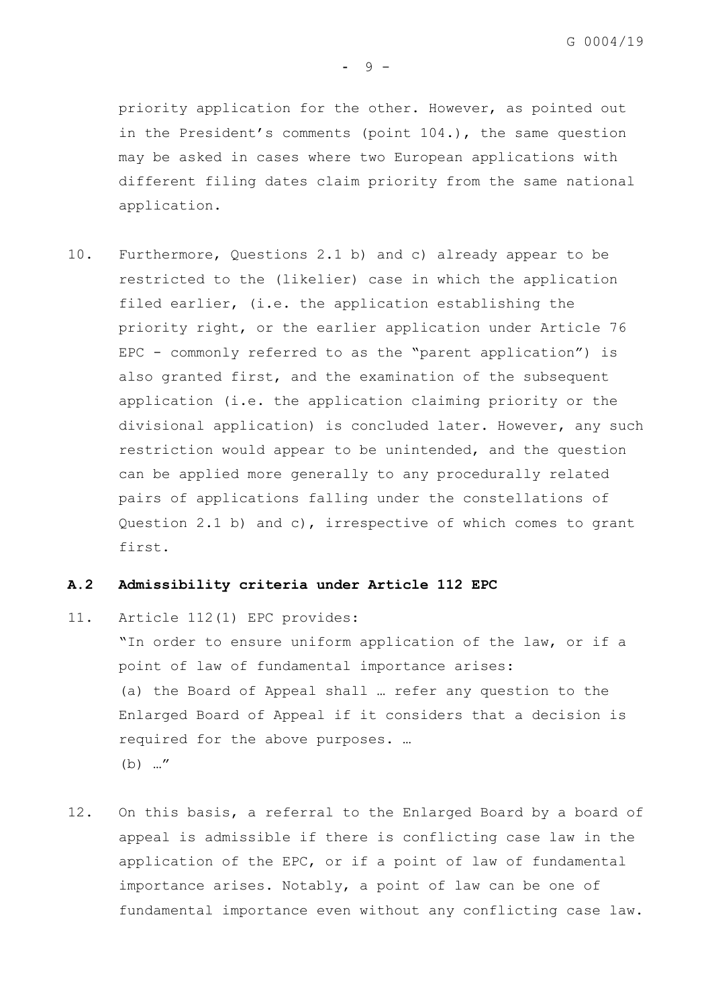priority application for the other. However, as pointed out in the President's comments (point 104.), the same question may be asked in cases where two European applications with different filing dates claim priority from the same national application.

<span id="page-11-0"></span>10. Furthermore, Questions 2.1 b) and c) already appear to be restricted to the (likelier) case in which the application filed earlier, (i.e. the application establishing the priority right, or the earlier application under Article 76 EPC - commonly referred to as the "parent application") is also granted first, and the examination of the subsequent application (i.e. the application claiming priority or the divisional application) is concluded later. However, any such restriction would appear to be unintended, and the question can be applied more generally to any procedurally related pairs of applications falling under the constellations of Question 2.1 b) and c), irrespective of which comes to grant first.

## **A.2 Admissibility criteria under Article 112 EPC**

11. Article 112(1) EPC provides: "In order to ensure uniform application of the law, or if a point of law of fundamental importance arises: (a) the Board of Appeal shall … refer any question to the Enlarged Board of Appeal if it considers that a decision is required for the above purposes. … (b) …"

12. On this basis, a referral to the Enlarged Board by a board of appeal is admissible if there is conflicting case law in the application of the EPC, or if a point of law of fundamental importance arises. Notably, a point of law can be one of fundamental importance even without any conflicting case law.

- 9 -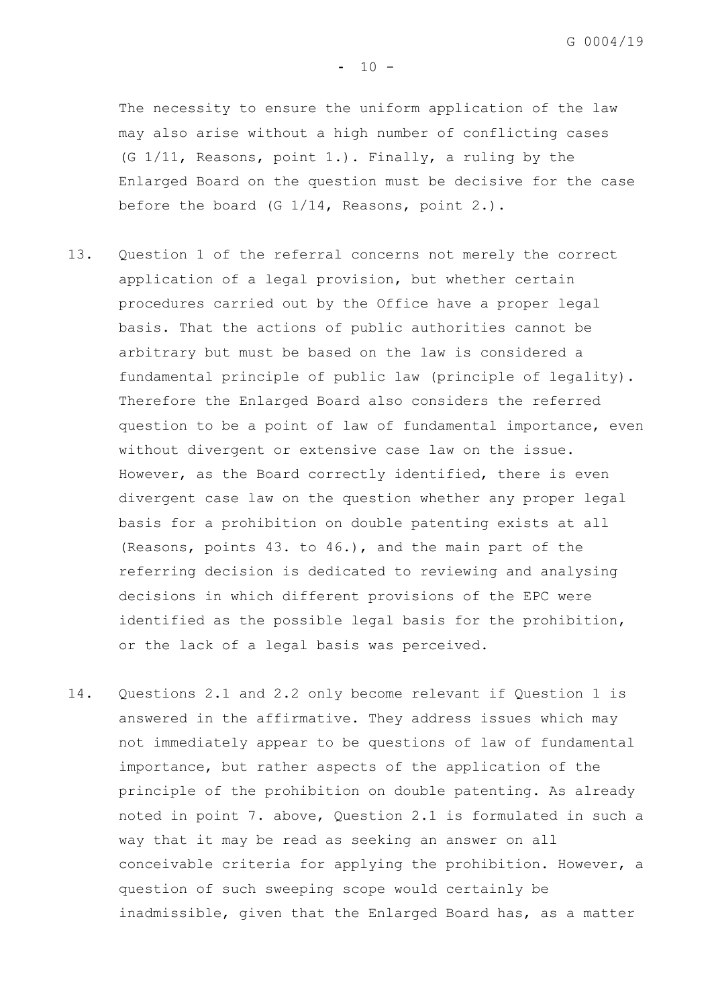The necessity to ensure the uniform application of the law may also arise without a high number of conflicting cases (G 1/11, Reasons, point 1.). Finally, a ruling by the Enlarged Board on the question must be decisive for the case before the board (G 1/14, Reasons, point 2.).

- 13. Question 1 of the referral concerns not merely the correct application of a legal provision, but whether certain procedures carried out by the Office have a proper legal basis. That the actions of public authorities cannot be arbitrary but must be based on the law is considered a fundamental principle of public law (principle of legality). Therefore the Enlarged Board also considers the referred question to be a point of law of fundamental importance, even without divergent or extensive case law on the issue. However, as the Board correctly identified, there is even divergent case law on the question whether any proper legal basis for a prohibition on double patenting exists at all (Reasons, points 43. to 46.), and the main part of the referring decision is dedicated to reviewing and analysing decisions in which different provisions of the EPC were identified as the possible legal basis for the prohibition, or the lack of a legal basis was perceived.
- 14. Questions 2.1 and 2.2 only become relevant if Question 1 is answered in the affirmative. They address issues which may not immediately appear to be questions of law of fundamental importance, but rather aspects of the application of the principle of the prohibition on double patenting. As already noted in point [7.](#page-10-0) above, Question 2.1 is formulated in such a way that it may be read as seeking an answer on all conceivable criteria for applying the prohibition. However, a question of such sweeping scope would certainly be inadmissible, given that the Enlarged Board has, as a matter

 $- 10 -$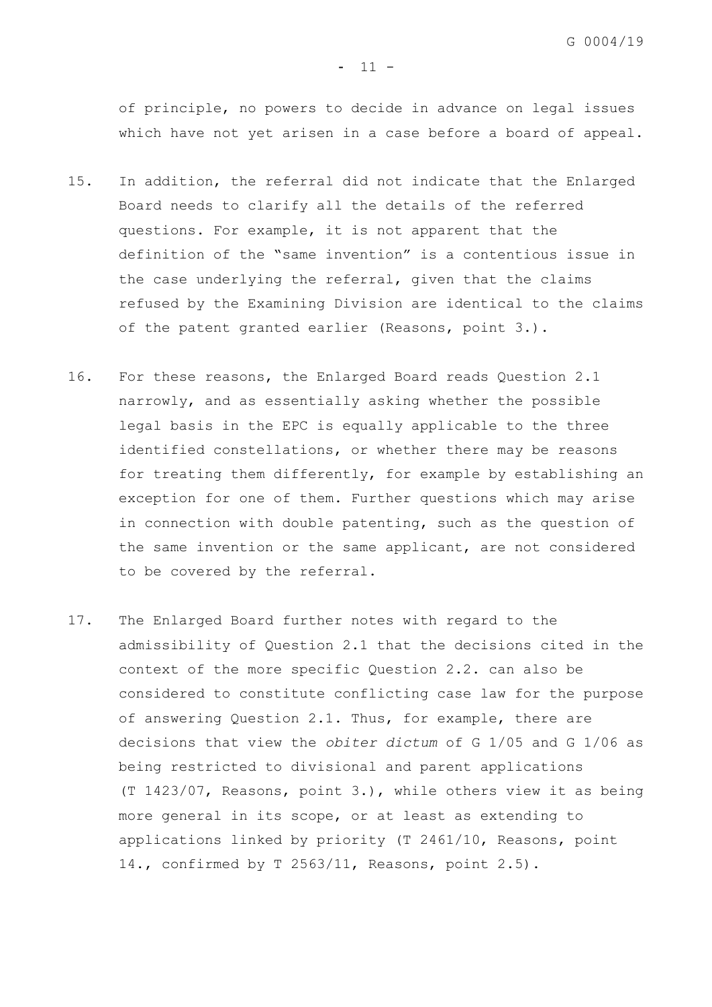of principle, no powers to decide in advance on legal issues which have not yet arisen in a case before a board of appeal.

- 15. In addition, the referral did not indicate that the Enlarged Board needs to clarify all the details of the referred questions. For example, it is not apparent that the definition of the "same invention" is a contentious issue in the case underlying the referral, given that the claims refused by the Examining Division are identical to the claims of the patent granted earlier (Reasons, point 3.).
- 16. For these reasons, the Enlarged Board reads Question 2.1 narrowly, and as essentially asking whether the possible legal basis in the EPC is equally applicable to the three identified constellations, or whether there may be reasons for treating them differently, for example by establishing an exception for one of them. Further questions which may arise in connection with double patenting, such as the question of the same invention or the same applicant, are not considered to be covered by the referral.
- 17. The Enlarged Board further notes with regard to the admissibility of Question 2.1 that the decisions cited in the context of the more specific Question 2.2. can also be considered to constitute conflicting case law for the purpose of answering Question 2.1. Thus, for example, there are decisions that view the *obiter dictum* of G 1/05 and G 1/06 as being restricted to divisional and parent applications (T 1423/07, Reasons, point 3.), while others view it as being more general in its scope, or at least as extending to applications linked by priority (T 2461/10, Reasons, point 14., confirmed by T 2563/11, Reasons, point 2.5).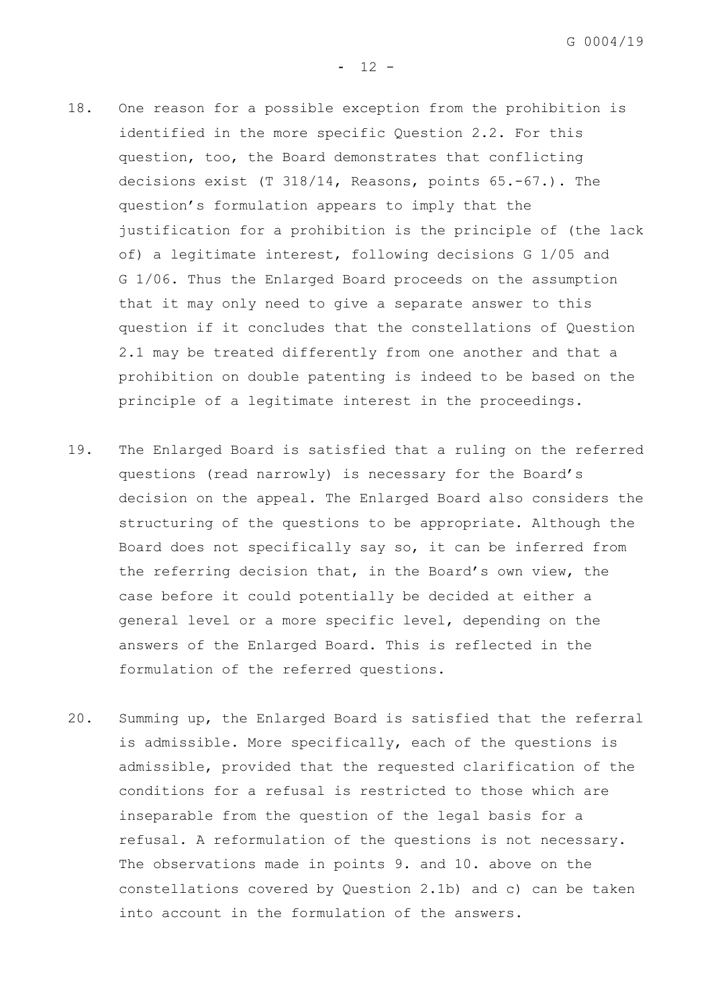$- 12 -$ 

- 18. One reason for a possible exception from the prohibition is identified in the more specific Question 2.2. For this question, too, the Board demonstrates that conflicting decisions exist (T 318/14, Reasons, points 65.-67.). The question's formulation appears to imply that the justification for a prohibition is the principle of (the lack of) a legitimate interest, following decisions G 1/05 and G 1/06. Thus the Enlarged Board proceeds on the assumption that it may only need to give a separate answer to this question if it concludes that the constellations of Question 2.1 may be treated differently from one another and that a prohibition on double patenting is indeed to be based on the principle of a legitimate interest in the proceedings.
- 19. The Enlarged Board is satisfied that a ruling on the referred questions (read narrowly) is necessary for the Board's decision on the appeal. The Enlarged Board also considers the structuring of the questions to be appropriate. Although the Board does not specifically say so, it can be inferred from the referring decision that, in the Board's own view, the case before it could potentially be decided at either a general level or a more specific level, depending on the answers of the Enlarged Board. This is reflected in the formulation of the referred questions.
- 20. Summing up, the Enlarged Board is satisfied that the referral is admissible. More specifically, each of the questions is admissible, provided that the requested clarification of the conditions for a refusal is restricted to those which are inseparable from the question of the legal basis for a refusal. A reformulation of the questions is not necessary. The observations made in points [9.](#page-10-1) and [10.](#page-11-0) above on the constellations covered by Question 2.1b) and c) can be taken into account in the formulation of the answers.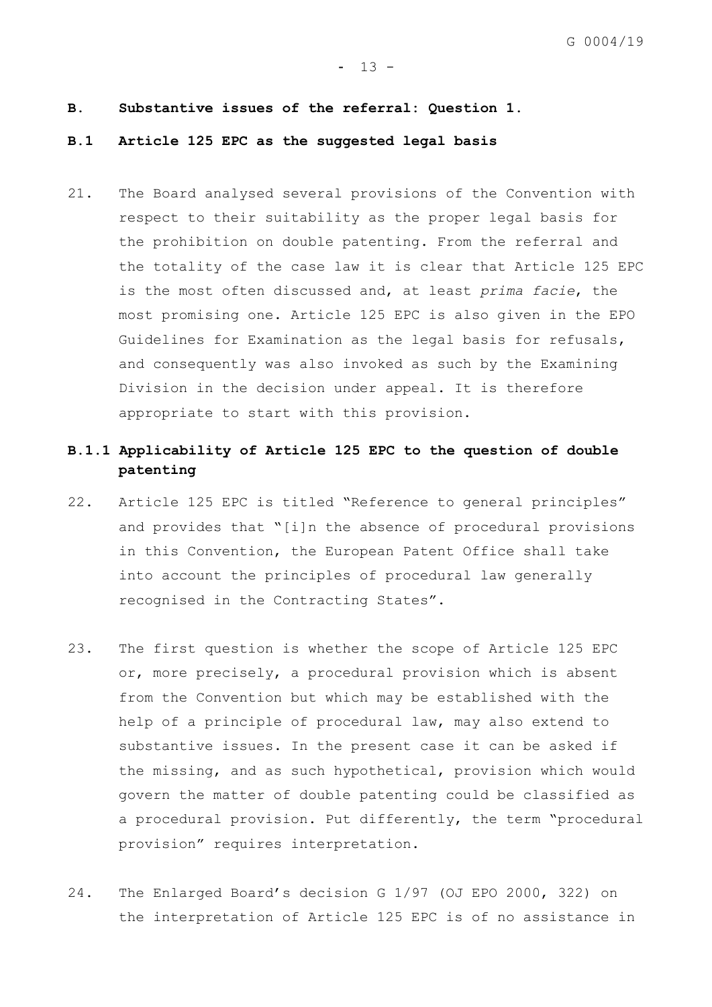#### $- 13 -$

#### **B. Substantive issues of the referral: Question 1.**

# **B.1 Article 125 EPC as the suggested legal basis**

21. The Board analysed several provisions of the Convention with respect to their suitability as the proper legal basis for the prohibition on double patenting. From the referral and the totality of the case law it is clear that Article 125 EPC is the most often discussed and, at least *prima facie*, the most promising one. Article 125 EPC is also given in the EPO Guidelines for Examination as the legal basis for refusals, and consequently was also invoked as such by the Examining Division in the decision under appeal. It is therefore appropriate to start with this provision.

# **B.1.1 Applicability of Article 125 EPC to the question of double patenting**

- 22. Article 125 EPC is titled "Reference to general principles" and provides that "[i]n the absence of procedural provisions in this Convention, the European Patent Office shall take into account the principles of procedural law generally recognised in the Contracting States".
- 23. The first question is whether the scope of Article 125 EPC or, more precisely, a procedural provision which is absent from the Convention but which may be established with the help of a principle of procedural law, may also extend to substantive issues. In the present case it can be asked if the missing, and as such hypothetical, provision which would govern the matter of double patenting could be classified as a procedural provision. Put differently, the term "procedural provision" requires interpretation.
- 24. The Enlarged Board's decision G 1/97 (OJ EPO 2000, 322) on the interpretation of Article 125 EPC is of no assistance in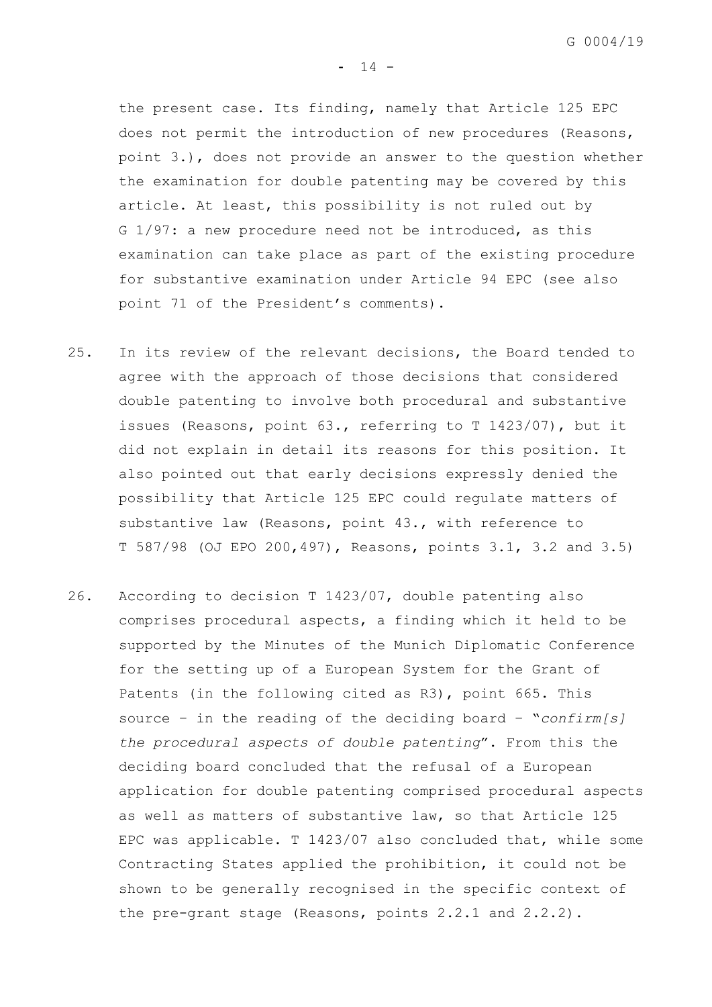the present case. Its finding, namely that Article 125 EPC does not permit the introduction of new procedures (Reasons, point 3.), does not provide an answer to the question whether the examination for double patenting may be covered by this article. At least, this possibility is not ruled out by G 1/97: a new procedure need not be introduced, as this examination can take place as part of the existing procedure for substantive examination under Article 94 EPC (see also point 71 of the President's comments).

- 25. In its review of the relevant decisions, the Board tended to agree with the approach of those decisions that considered double patenting to involve both procedural and substantive issues (Reasons, point 63., referring to T 1423/07), but it did not explain in detail its reasons for this position. It also pointed out that early decisions expressly denied the possibility that Article 125 EPC could regulate matters of substantive law (Reasons, point 43., with reference to T 587/98 (OJ EPO 200,497), Reasons, points 3.1, 3.2 and 3.5)
- 26. According to decision T 1423/07, double patenting also comprises procedural aspects, a finding which it held to be supported by the Minutes of the Munich Diplomatic Conference for the setting up of a European System for the Grant of Patents (in the following cited as R3), point 665. This source – in the reading of the deciding board – "*confirm[s] the procedural aspects of double patenting*". From this the deciding board concluded that the refusal of a European application for double patenting comprised procedural aspects as well as matters of substantive law, so that Article 125 EPC was applicable. T 1423/07 also concluded that, while some Contracting States applied the prohibition, it could not be shown to be generally recognised in the specific context of the pre-grant stage (Reasons, points 2.2.1 and 2.2.2).

 $- 14 -$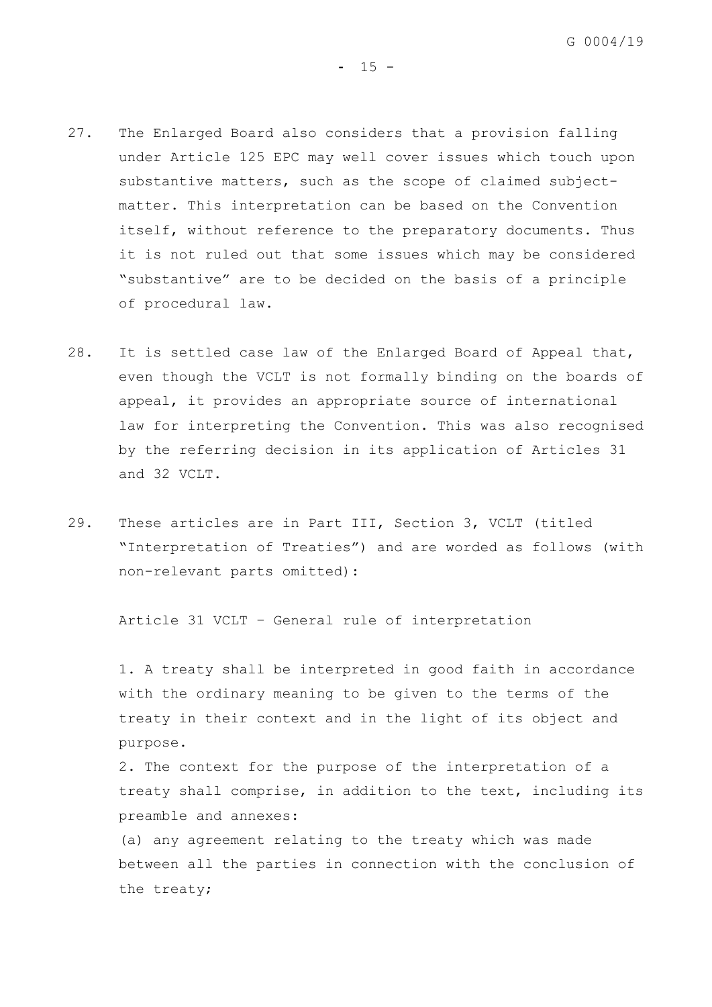$- 15 -$ 

- 27. The Enlarged Board also considers that a provision falling under Article 125 EPC may well cover issues which touch upon substantive matters, such as the scope of claimed subjectmatter. This interpretation can be based on the Convention itself, without reference to the preparatory documents. Thus it is not ruled out that some issues which may be considered "substantive" are to be decided on the basis of a principle of procedural law.
- 28. It is settled case law of the Enlarged Board of Appeal that, even though the VCLT is not formally binding on the boards of appeal, it provides an appropriate source of international law for interpreting the Convention. This was also recognised by the referring decision in its application of Articles 31 and 32 VCLT.
- 29. These articles are in Part III, Section 3, VCLT (titled "Interpretation of Treaties") and are worded as follows (with non-relevant parts omitted):

Article 31 VCLT – General rule of interpretation

1. A treaty shall be interpreted in good faith in accordance with the ordinary meaning to be given to the terms of the treaty in their context and in the light of its object and purpose.

2. The context for the purpose of the interpretation of a treaty shall comprise, in addition to the text, including its preamble and annexes:

(a) any agreement relating to the treaty which was made between all the parties in connection with the conclusion of the treaty;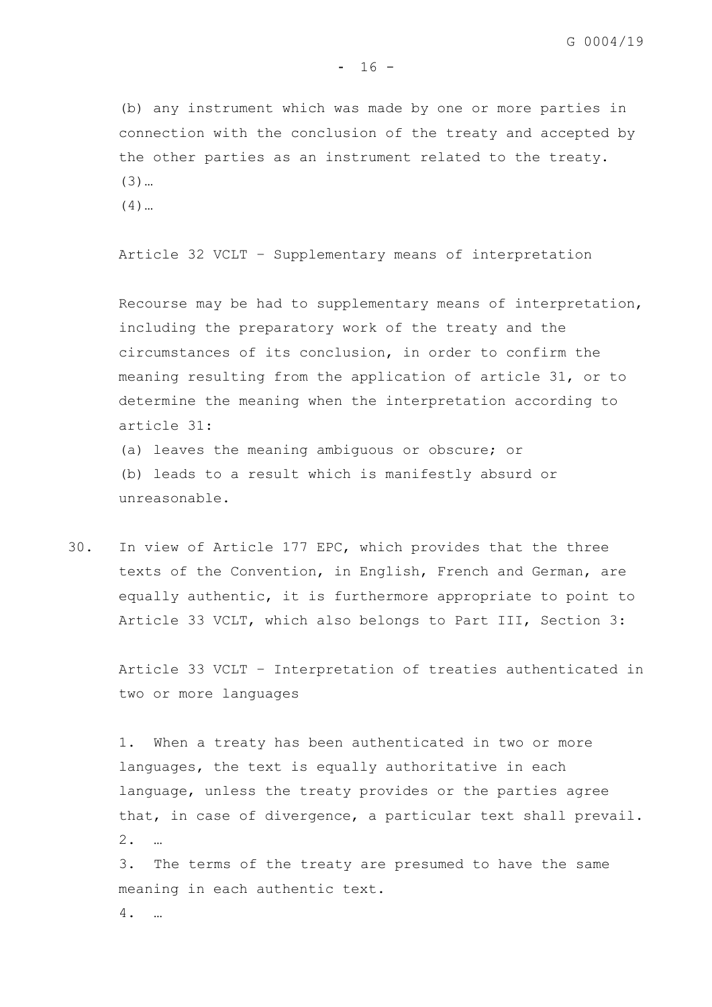(b) any instrument which was made by one or more parties in connection with the conclusion of the treaty and accepted by the other parties as an instrument related to the treaty. (3)…

(4)…

Article 32 VCLT – Supplementary means of interpretation

Recourse may be had to supplementary means of interpretation, including the preparatory work of the treaty and the circumstances of its conclusion, in order to confirm the meaning resulting from the application of article 31, or to determine the meaning when the interpretation according to article 31:

(a) leaves the meaning ambiguous or obscure; or (b) leads to a result which is manifestly absurd or unreasonable.

30. In view of Article 177 EPC, which provides that the three texts of the Convention, in English, French and German, are equally authentic, it is furthermore appropriate to point to Article 33 VCLT, which also belongs to Part III, Section 3:

Article 33 VCLT – Interpretation of treaties authenticated in two or more languages

1. When a treaty has been authenticated in two or more languages, the text is equally authoritative in each language, unless the treaty provides or the parties agree that, in case of divergence, a particular text shall prevail. 2. …

3. The terms of the treaty are presumed to have the same meaning in each authentic text.

4. …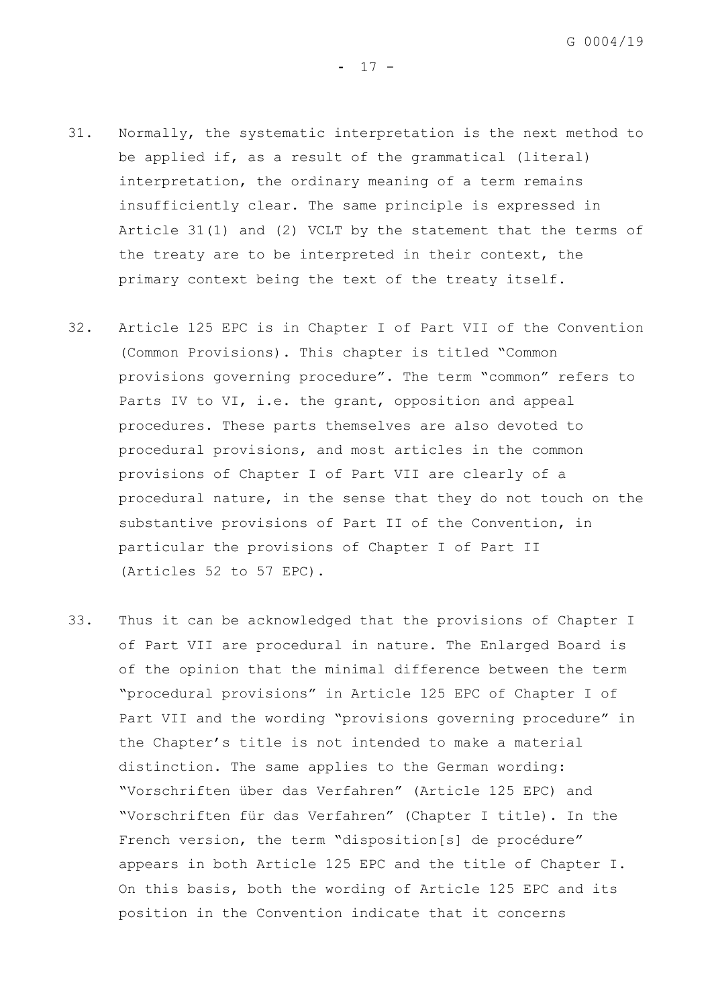- 31. Normally, the systematic interpretation is the next method to be applied if, as a result of the grammatical (literal) interpretation, the ordinary meaning of a term remains insufficiently clear. The same principle is expressed in Article 31(1) and (2) VCLT by the statement that the terms of the treaty are to be interpreted in their context, the primary context being the text of the treaty itself.
- 32. Article 125 EPC is in Chapter I of Part VII of the Convention (Common Provisions). This chapter is titled "Common provisions governing procedure". The term "common" refers to Parts IV to VI, i.e. the grant, opposition and appeal procedures. These parts themselves are also devoted to procedural provisions, and most articles in the common provisions of Chapter I of Part VII are clearly of a procedural nature, in the sense that they do not touch on the substantive provisions of Part II of the Convention, in particular the provisions of Chapter I of Part II (Articles 52 to 57 EPC).
- 33. Thus it can be acknowledged that the provisions of Chapter I of Part VII are procedural in nature. The Enlarged Board is of the opinion that the minimal difference between the term "procedural provisions" in Article 125 EPC of Chapter I of Part VII and the wording "provisions governing procedure" in the Chapter's title is not intended to make a material distinction. The same applies to the German wording: "Vorschriften über das Verfahren" (Article 125 EPC) and "Vorschriften für das Verfahren" (Chapter I title). In the French version, the term "disposition[s] de procédure" appears in both Article 125 EPC and the title of Chapter I. On this basis, both the wording of Article 125 EPC and its position in the Convention indicate that it concerns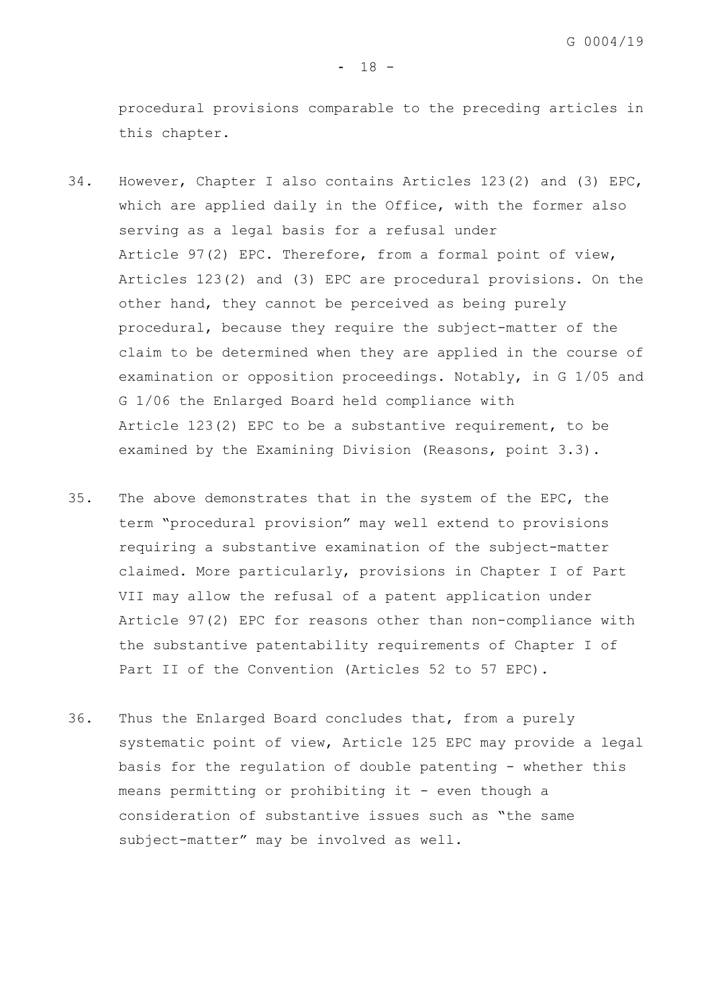procedural provisions comparable to the preceding articles in this chapter.

- 34. However, Chapter I also contains Articles 123(2) and (3) EPC, which are applied daily in the Office, with the former also serving as a legal basis for a refusal under Article 97(2) EPC. Therefore, from a formal point of view, Articles 123(2) and (3) EPC are procedural provisions. On the other hand, they cannot be perceived as being purely procedural, because they require the subject-matter of the claim to be determined when they are applied in the course of examination or opposition proceedings. Notably, in G 1/05 and G 1/06 the Enlarged Board held compliance with Article 123(2) EPC to be a substantive requirement, to be examined by the Examining Division (Reasons, point 3.3).
- 35. The above demonstrates that in the system of the EPC, the term "procedural provision" may well extend to provisions requiring a substantive examination of the subject-matter claimed. More particularly, provisions in Chapter I of Part VII may allow the refusal of a patent application under Article 97(2) EPC for reasons other than non-compliance with the substantive patentability requirements of Chapter I of Part II of the Convention (Articles 52 to 57 EPC).
- <span id="page-20-0"></span>36. Thus the Enlarged Board concludes that, from a purely systematic point of view, Article 125 EPC may provide a legal basis for the regulation of double patenting - whether this means permitting or prohibiting it - even though a consideration of substantive issues such as "the same subject-matter" may be involved as well.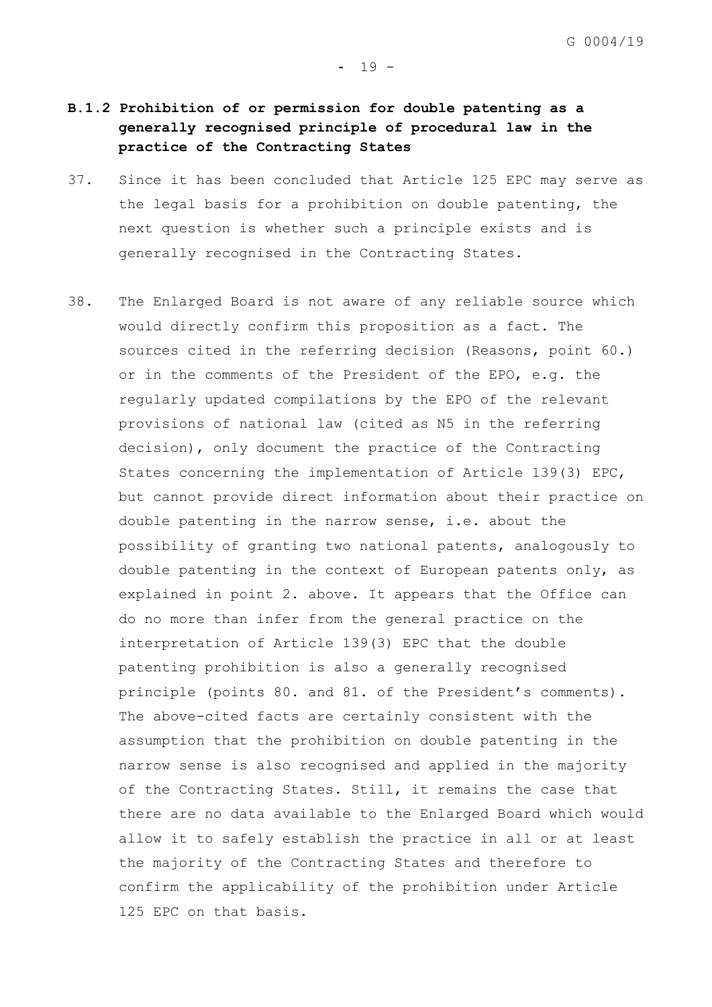# **B.1.2 Prohibition of or permission for double patenting as a generally recognised principle of procedural law in the practice of the Contracting States**

- 37. Since it has been concluded that Article 125 EPC may serve as the legal basis for a prohibition on double patenting, the next question is whether such a principle exists and is generally recognised in the Contracting States.
- <span id="page-21-0"></span>38. The Enlarged Board is not aware of any reliable source which would directly confirm this proposition as a fact. The sources cited in the referring decision (Reasons, point 60.) or in the comments of the President of the EPO, e.g. the regularly updated compilations by the EPO of the relevant provisions of national law (cited as N5 in the referring decision), only document the practice of the Contracting States concerning the implementation of Article 139(3) EPC, but cannot provide direct information about their practice on double patenting in the narrow sense, i.e. about the possibility of granting two national patents, analogously to double patenting in the context of European patents only, as explained in point [2.](#page-7-0) above. It appears that the Office can do no more than infer from the general practice on the interpretation of Article 139(3) EPC that the double patenting prohibition is also a generally recognised principle (points 80. and 81. of the President's comments). The above-cited facts are certainly consistent with the assumption that the prohibition on double patenting in the narrow sense is also recognised and applied in the majority of the Contracting States. Still, it remains the case that there are no data available to the Enlarged Board which would allow it to safely establish the practice in all or at least the majority of the Contracting States and therefore to confirm the applicability of the prohibition under Article 125 EPC on that basis.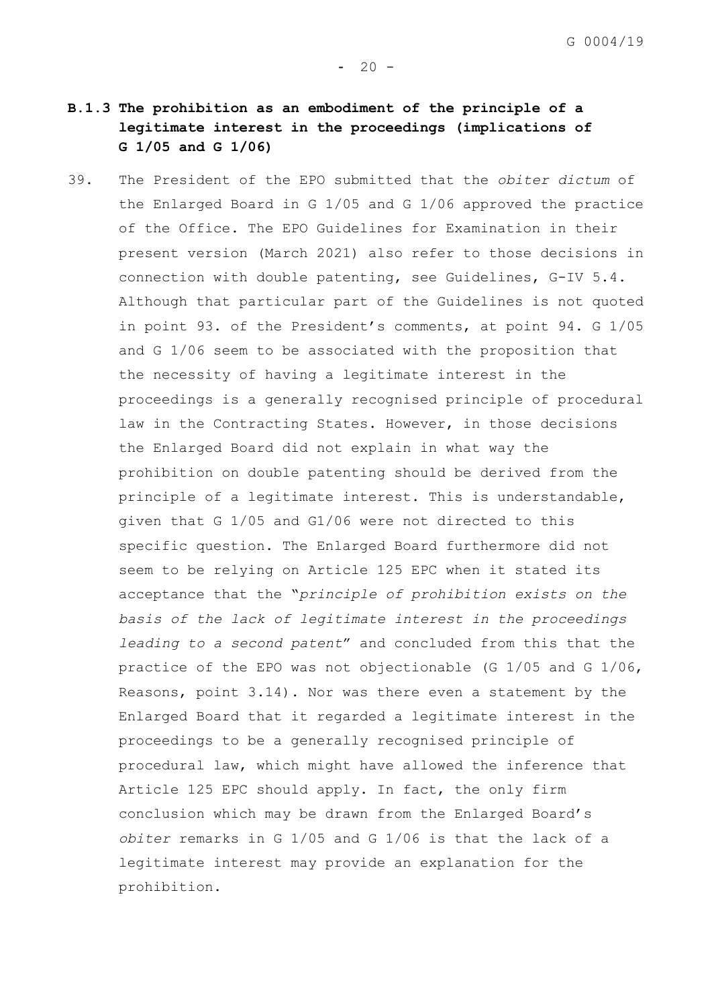# **B.1.3 The prohibition as an embodiment of the principle of a legitimate interest in the proceedings (implications of G 1/05 and G 1/06)**

39. The President of the EPO submitted that the *obiter dictum* of the Enlarged Board in G 1/05 and G 1/06 approved the practice of the Office. The EPO Guidelines for Examination in their present version (March 2021) also refer to those decisions in connection with double patenting, see Guidelines, G-IV 5.4. Although that particular part of the Guidelines is not quoted in point 93. of the President's comments, at point 94. G 1/05 and G 1/06 seem to be associated with the proposition that the necessity of having a legitimate interest in the proceedings is a generally recognised principle of procedural law in the Contracting States. However, in those decisions the Enlarged Board did not explain in what way the prohibition on double patenting should be derived from the principle of a legitimate interest. This is understandable, given that G 1/05 and G1/06 were not directed to this specific question. The Enlarged Board furthermore did not seem to be relying on Article 125 EPC when it stated its acceptance that the "*principle of prohibition exists on the basis of the lack of legitimate interest in the proceedings leading to a second patent*" and concluded from this that the practice of the EPO was not objectionable (G 1/05 and G 1/06, Reasons, point 3.14). Nor was there even a statement by the Enlarged Board that it regarded a legitimate interest in the proceedings to be a generally recognised principle of procedural law, which might have allowed the inference that Article 125 EPC should apply. In fact, the only firm conclusion which may be drawn from the Enlarged Board's *obiter* remarks in G 1/05 and G 1/06 is that the lack of a legitimate interest may provide an explanation for the prohibition.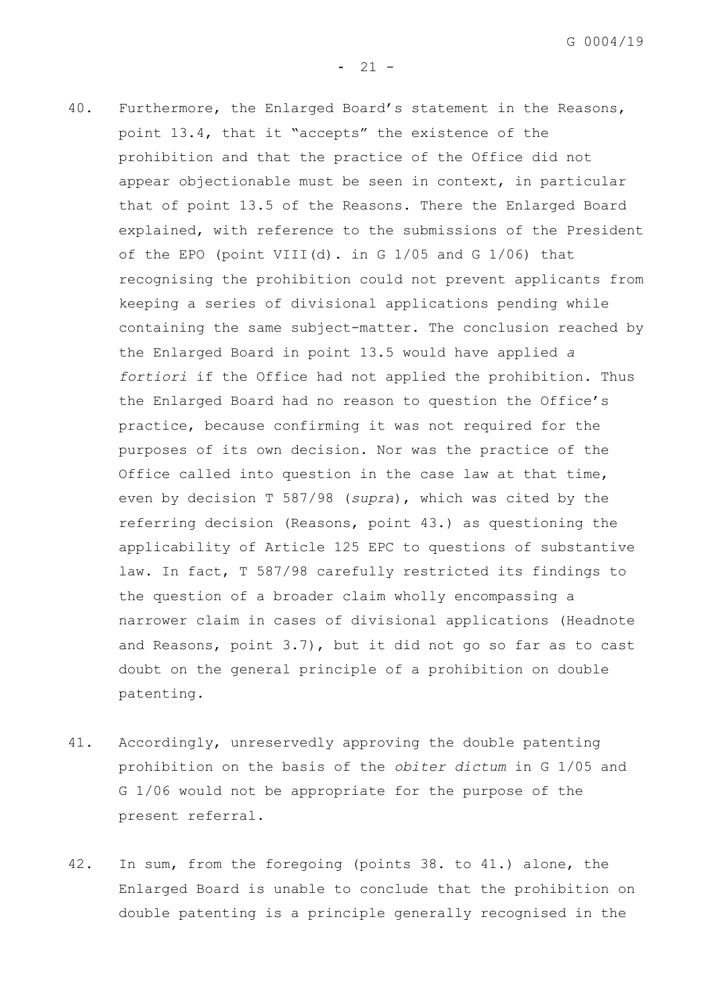$- 21 -$ 

- 40. Furthermore, the Enlarged Board's statement in the Reasons, point 13.4, that it "accepts" the existence of the prohibition and that the practice of the Office did not appear objectionable must be seen in context, in particular that of point 13.5 of the Reasons. There the Enlarged Board explained, with reference to the submissions of the President of the EPO (point VIII(d). in G 1/05 and G 1/06) that recognising the prohibition could not prevent applicants from keeping a series of divisional applications pending while containing the same subject-matter. The conclusion reached by the Enlarged Board in point 13.5 would have applied *a fortiori* if the Office had not applied the prohibition. Thus the Enlarged Board had no reason to question the Office's practice, because confirming it was not required for the purposes of its own decision. Nor was the practice of the Office called into question in the case law at that time, even by decision T 587/98 (*supra*), which was cited by the referring decision (Reasons, point 43.) as questioning the applicability of Article 125 EPC to questions of substantive law. In fact, T 587/98 carefully restricted its findings to the question of a broader claim wholly encompassing a narrower claim in cases of divisional applications (Headnote and Reasons, point 3.7), but it did not go so far as to cast doubt on the general principle of a prohibition on double patenting.
- <span id="page-23-0"></span>41. Accordingly, unreservedly approving the double patenting prohibition on the basis of the *obiter dictum* in G 1/05 and G 1/06 would not be appropriate for the purpose of the present referral.
- 42. In sum, from the foregoing (points [38.](#page-21-0) to [41.](#page-23-0)) alone, the Enlarged Board is unable to conclude that the prohibition on double patenting is a principle generally recognised in the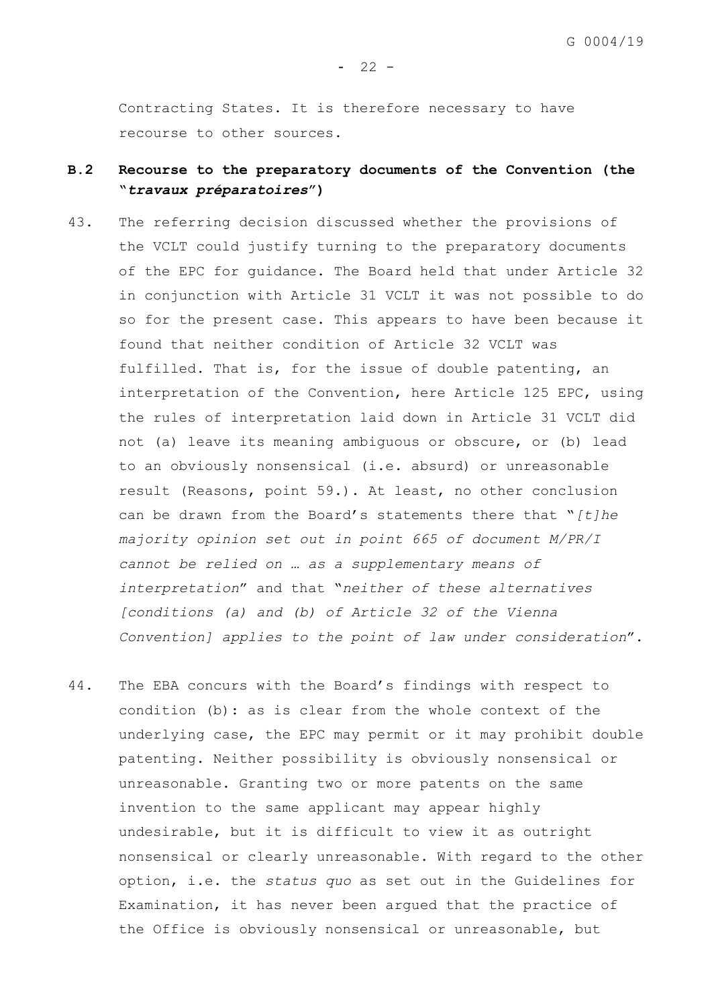$- 22 -$ 

Contracting States. It is therefore necessary to have recourse to other sources.

# **B.2 Recourse to the preparatory documents of the Convention (the "***travaux préparatoires***")**

- 43. The referring decision discussed whether the provisions of the VCLT could justify turning to the preparatory documents of the EPC for guidance. The Board held that under Article 32 in conjunction with Article 31 VCLT it was not possible to do so for the present case. This appears to have been because it found that neither condition of Article 32 VCLT was fulfilled. That is, for the issue of double patenting, an interpretation of the Convention, here Article 125 EPC, using the rules of interpretation laid down in Article 31 VCLT did not (a) leave its meaning ambiguous or obscure, or (b) lead to an obviously nonsensical (i.e. absurd) or unreasonable result (Reasons, point 59.). At least, no other conclusion can be drawn from the Board's statements there that "*[t]he majority opinion set out in point 665 of document M/PR/I cannot be relied on … as a supplementary means of interpretation*" and that "*neither of these alternatives [conditions (a) and (b) of Article 32 of the Vienna Convention] applies to the point of law under consideration*".
- 44. The EBA concurs with the Board's findings with respect to condition (b): as is clear from the whole context of the underlying case, the EPC may permit or it may prohibit double patenting. Neither possibility is obviously nonsensical or unreasonable. Granting two or more patents on the same invention to the same applicant may appear highly undesirable, but it is difficult to view it as outright nonsensical or clearly unreasonable. With regard to the other option, i.e. the *status quo* as set out in the Guidelines for Examination, it has never been argued that the practice of the Office is obviously nonsensical or unreasonable, but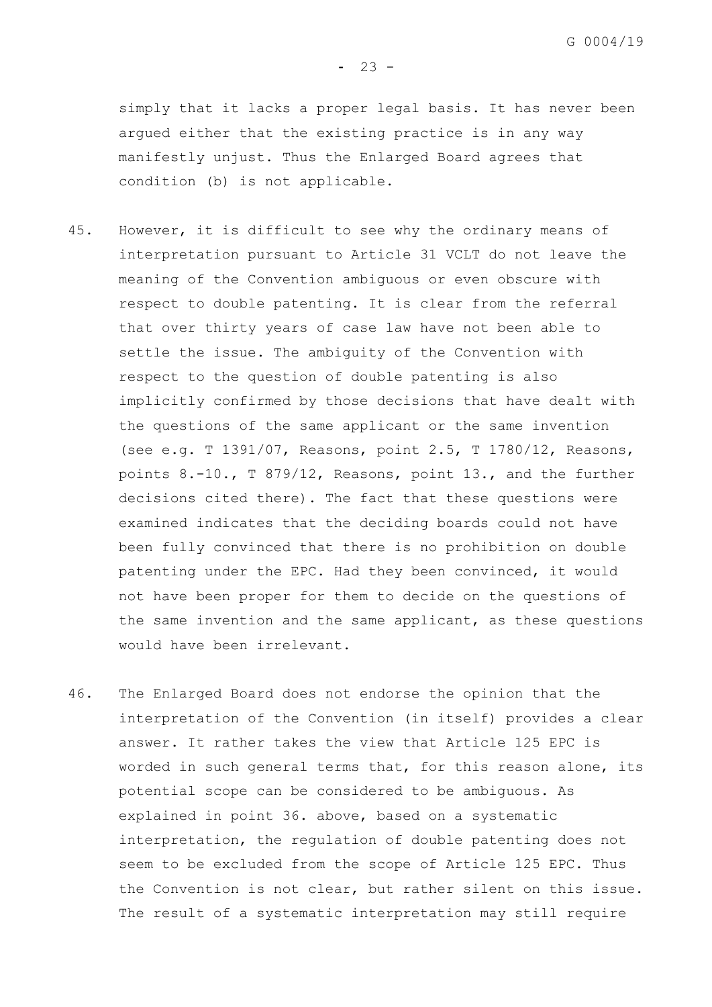simply that it lacks a proper legal basis. It has never been argued either that the existing practice is in any way manifestly unjust. Thus the Enlarged Board agrees that condition (b) is not applicable.

- 45. However, it is difficult to see why the ordinary means of interpretation pursuant to Article 31 VCLT do not leave the meaning of the Convention ambiguous or even obscure with respect to double patenting. It is clear from the referral that over thirty years of case law have not been able to settle the issue. The ambiguity of the Convention with respect to the question of double patenting is also implicitly confirmed by those decisions that have dealt with the questions of the same applicant or the same invention (see e.g. T 1391/07, Reasons, point 2.5, T 1780/12, Reasons, points 8.-10., T 879/12, Reasons, point 13., and the further decisions cited there). The fact that these questions were examined indicates that the deciding boards could not have been fully convinced that there is no prohibition on double patenting under the EPC. Had they been convinced, it would not have been proper for them to decide on the questions of the same invention and the same applicant, as these questions would have been irrelevant.
- 46. The Enlarged Board does not endorse the opinion that the interpretation of the Convention (in itself) provides a clear answer. It rather takes the view that Article 125 EPC is worded in such general terms that, for this reason alone, its potential scope can be considered to be ambiguous. As explained in point [36.](#page-20-0) above, based on a systematic interpretation, the regulation of double patenting does not seem to be excluded from the scope of Article 125 EPC. Thus the Convention is not clear, but rather silent on this issue. The result of a systematic interpretation may still require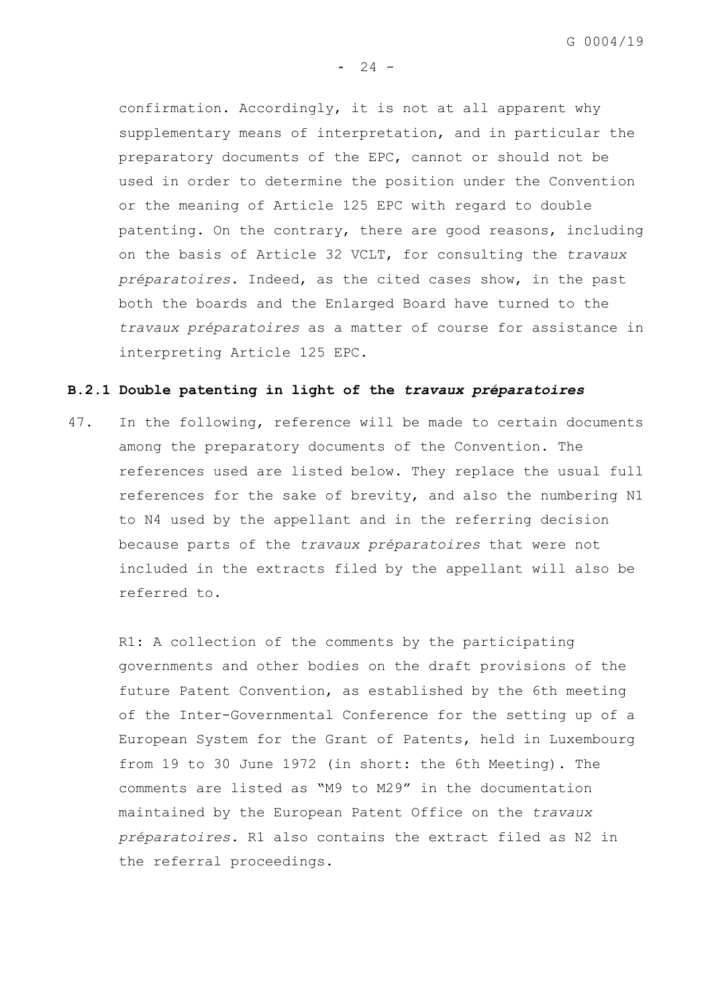G 0004/19

 $- 24 -$ 

confirmation. Accordingly, it is not at all apparent why supplementary means of interpretation, and in particular the preparatory documents of the EPC, cannot or should not be used in order to determine the position under the Convention or the meaning of Article 125 EPC with regard to double patenting. On the contrary, there are good reasons, including on the basis of Article 32 VCLT, for consulting the *travaux préparatoires*. Indeed, as the cited cases show, in the past both the boards and the Enlarged Board have turned to the *travaux préparatoires* as a matter of course for assistance in interpreting Article 125 EPC.

# **B.2.1 Double patenting in light of the** *travaux préparatoires*

47. In the following, reference will be made to certain documents among the preparatory documents of the Convention. The references used are listed below. They replace the usual full references for the sake of brevity, and also the numbering N1 to N4 used by the appellant and in the referring decision because parts of the *travaux préparatoires* that were not included in the extracts filed by the appellant will also be referred to.

R1: A collection of the comments by the participating governments and other bodies on the draft provisions of the future Patent Convention, as established by the 6th meeting of the Inter-Governmental Conference for the setting up of a European System for the Grant of Patents, held in Luxembourg from 19 to 30 June 1972 (in short: the 6th Meeting). The comments are listed as "M9 to M29" in the documentation maintained by the European Patent Office on the *travaux préparatoires*. R1 also contains the extract filed as N2 in the referral proceedings.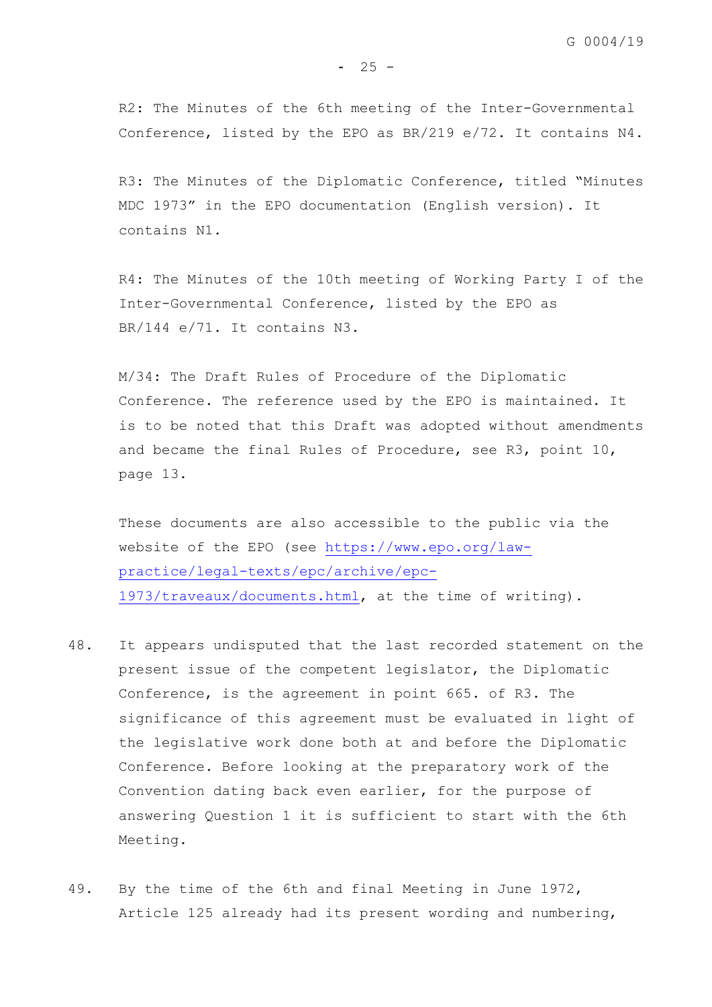R2: The Minutes of the 6th meeting of the Inter-Governmental Conference, listed by the EPO as BR/219 e/72. It contains N4.

R3: The Minutes of the Diplomatic Conference, titled "Minutes MDC 1973" in the EPO documentation (English version). It contains N1.

R4: The Minutes of the 10th meeting of Working Party I of the Inter-Governmental Conference, listed by the EPO as BR/144 e/71. It contains N3.

M/34: The Draft Rules of Procedure of the Diplomatic Conference. The reference used by the EPO is maintained. It is to be noted that this Draft was adopted without amendments and became the final Rules of Procedure, see R3, point 10, page 13.

These documents are also accessible to the public via the website of the EPO (see [https://www.epo.org/law](https://www.epo.org/law-practice/legal-texts/epc/archive/epc-1973/traveaux/documents.html)[practice/legal-texts/epc/archive/epc-](https://www.epo.org/law-practice/legal-texts/epc/archive/epc-1973/traveaux/documents.html)[1973/traveaux/documents.html,](https://www.epo.org/law-practice/legal-texts/epc/archive/epc-1973/traveaux/documents.html) at the time of writing).

- 48. It appears undisputed that the last recorded statement on the present issue of the competent legislator, the Diplomatic Conference, is the agreement in point 665. of R3. The significance of this agreement must be evaluated in light of the legislative work done both at and before the Diplomatic Conference. Before looking at the preparatory work of the Convention dating back even earlier, for the purpose of answering Question 1 it is sufficient to start with the 6th Meeting.
- 49. By the time of the 6th and final Meeting in June 1972, Article 125 already had its present wording and numbering,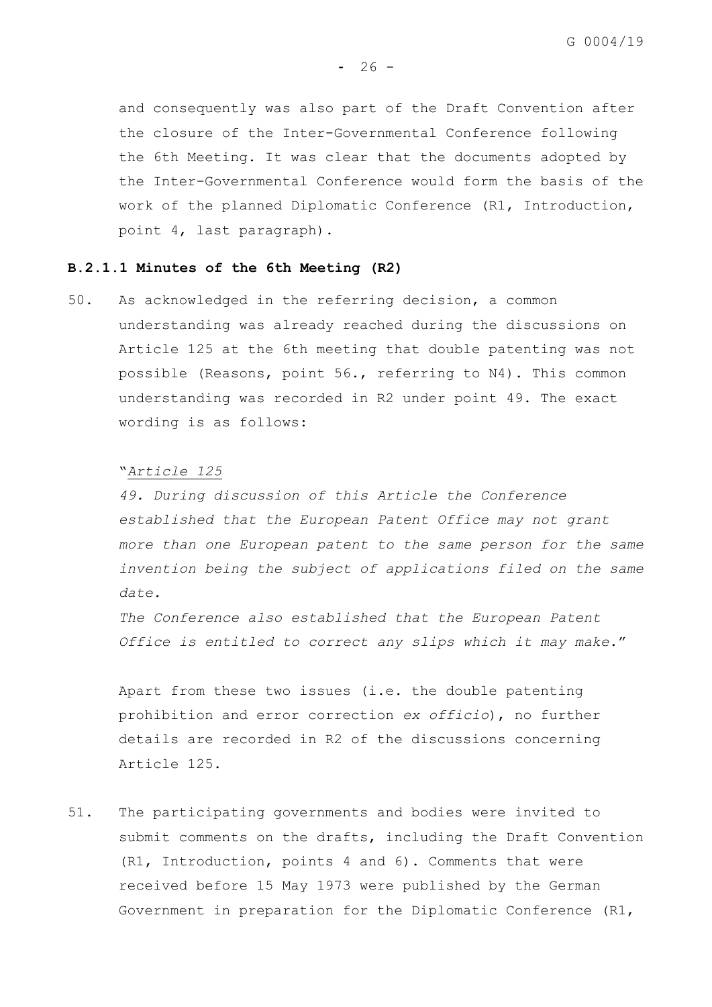and consequently was also part of the Draft Convention after the closure of the Inter-Governmental Conference following the 6th Meeting. It was clear that the documents adopted by the Inter-Governmental Conference would form the basis of the work of the planned Diplomatic Conference (R1, Introduction, point 4, last paragraph).

## **B.2.1.1 Minutes of the 6th Meeting (R2)**

<span id="page-28-0"></span>50. As acknowledged in the referring decision, a common understanding was already reached during the discussions on Article 125 at the 6th meeting that double patenting was not possible (Reasons, point 56., referring to N4). This common understanding was recorded in R2 under point 49. The exact wording is as follows:

#### "*Article 125*

*49. During discussion of this Article the Conference established that the European Patent Office may not grant more than one European patent to the same person for the same invention being the subject of applications filed on the same date.*

*The Conference also established that the European Patent Office is entitled to correct any slips which it may make.*"

Apart from these two issues (i.e. the double patenting prohibition and error correction *ex officio*), no further details are recorded in R2 of the discussions concerning Article 125.

51. The participating governments and bodies were invited to submit comments on the drafts, including the Draft Convention (R1, Introduction, points 4 and 6). Comments that were received before 15 May 1973 were published by the German Government in preparation for the Diplomatic Conference (R1,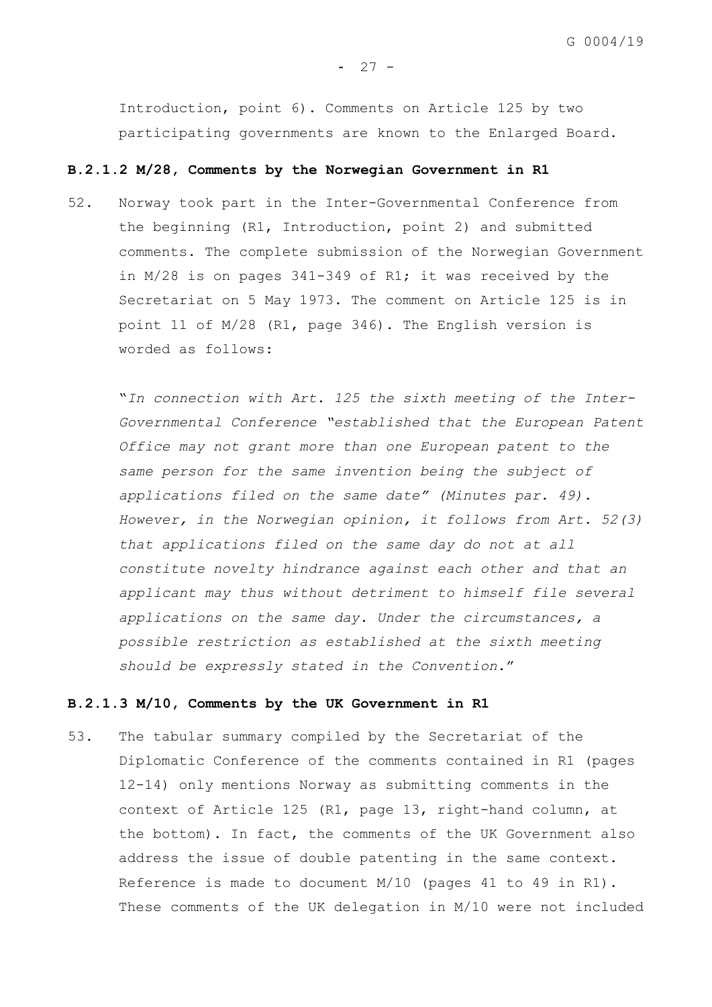$- 27 -$ 

Introduction, point 6). Comments on Article 125 by two participating governments are known to the Enlarged Board.

#### **B.2.1.2 M/28, Comments by the Norwegian Government in R1**

52. Norway took part in the Inter-Governmental Conference from the beginning (R1, Introduction, point 2) and submitted comments. The complete submission of the Norwegian Government in M/28 is on pages 341-349 of R1; it was received by the Secretariat on 5 May 1973. The comment on Article 125 is in point 11 of M/28 (R1, page 346). The English version is worded as follows:

"*In connection with Art. 125 the sixth meeting of the Inter-Governmental Conference "established that the European Patent Office may not grant more than one European patent to the same person for the same invention being the subject of applications filed on the same date" (Minutes par. 49). However, in the Norwegian opinion, it follows from Art. 52(3) that applications filed on the same day do not at all constitute novelty hindrance against each other and that an applicant may thus without detriment to himself file several applications on the same day. Under the circumstances, a possible restriction as established at the sixth meeting should be expressly stated in the Convention.*"

#### **B.2.1.3 M/10, Comments by the UK Government in R1**

53. The tabular summary compiled by the Secretariat of the Diplomatic Conference of the comments contained in R1 (pages 12-14) only mentions Norway as submitting comments in the context of Article 125 (R1, page 13, right-hand column, at the bottom). In fact, the comments of the UK Government also address the issue of double patenting in the same context. Reference is made to document M/10 (pages 41 to 49 in R1). These comments of the UK delegation in M/10 were not included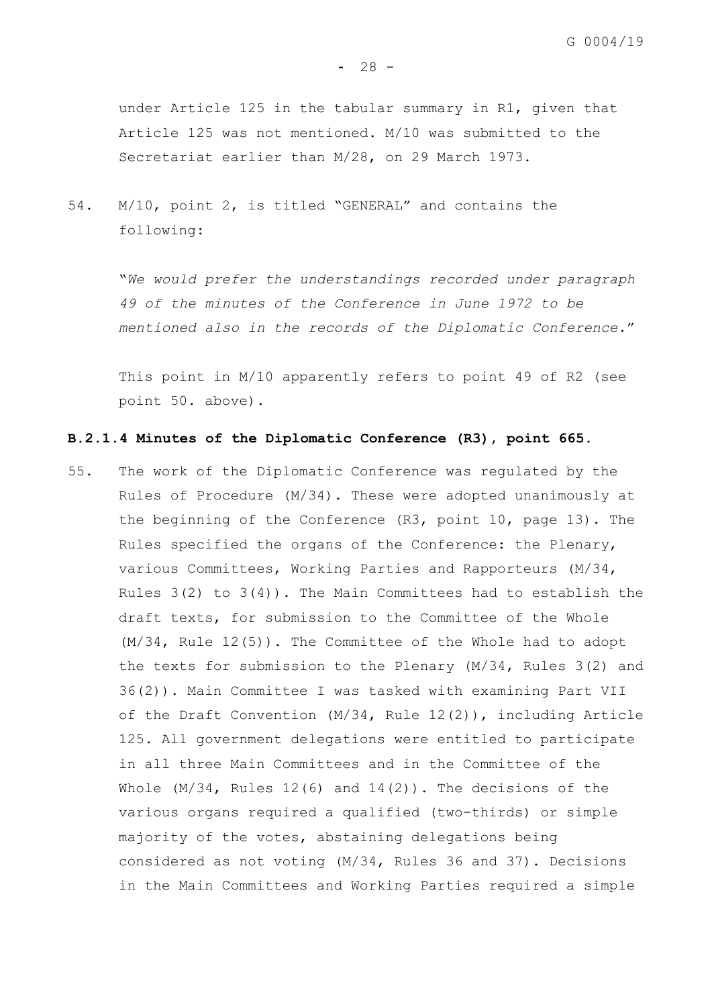$- 28 -$ 

under Article 125 in the tabular summary in R1, given that Article 125 was not mentioned. M/10 was submitted to the Secretariat earlier than M/28, on 29 March 1973.

54. M/10, point 2, is titled "GENERAL" and contains the following:

> "*We would prefer the understandings recorded under paragraph 49 of the minutes of the Conference in June 1972 to be mentioned also in the records of the Diplomatic Conference.*"

This point in M/10 apparently refers to point 49 of R2 (see point [50.](#page-28-0) above).

# **B.2.1.4 Minutes of the Diplomatic Conference (R3), point 665.**

55. The work of the Diplomatic Conference was regulated by the Rules of Procedure (M/34). These were adopted unanimously at the beginning of the Conference (R3, point 10, page 13). The Rules specified the organs of the Conference: the Plenary, various Committees, Working Parties and Rapporteurs (M/34, Rules  $3(2)$  to  $3(4)$ ). The Main Committees had to establish the draft texts, for submission to the Committee of the Whole (M/34, Rule 12(5)). The Committee of the Whole had to adopt the texts for submission to the Plenary (M/34, Rules 3(2) and 36(2)). Main Committee I was tasked with examining Part VII of the Draft Convention (M/34, Rule 12(2)), including Article 125. All government delegations were entitled to participate in all three Main Committees and in the Committee of the Whole  $(M/34$ , Rules  $12(6)$  and  $14(2)$ ). The decisions of the various organs required a qualified (two-thirds) or simple majority of the votes, abstaining delegations being considered as not voting (M/34, Rules 36 and 37). Decisions in the Main Committees and Working Parties required a simple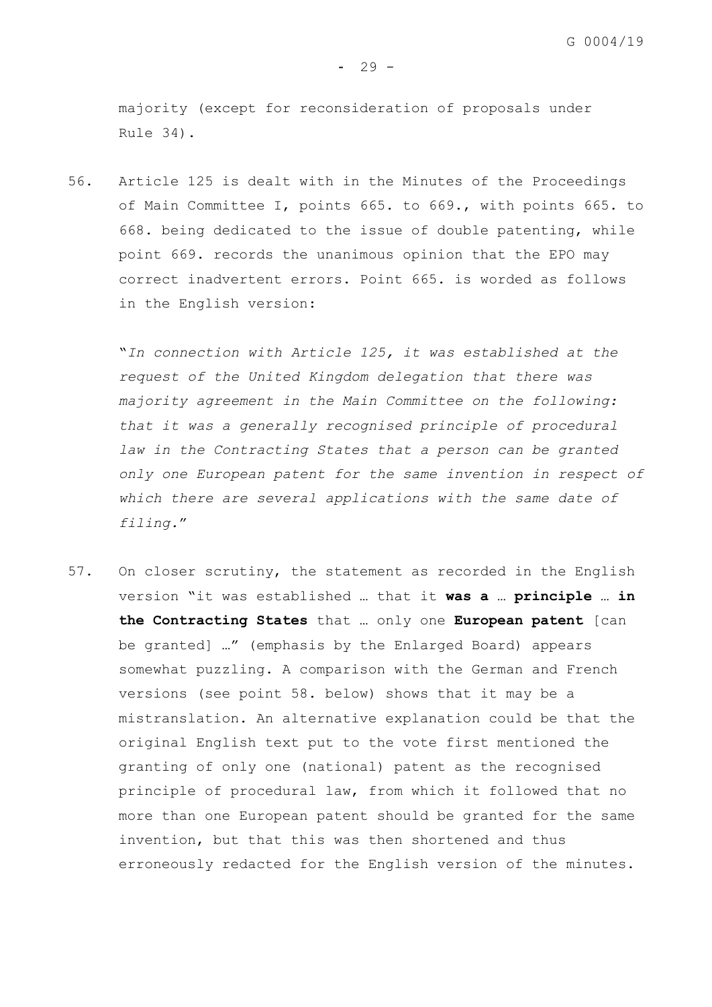majority (except for reconsideration of proposals under Rule 34).

56. Article 125 is dealt with in the Minutes of the Proceedings of Main Committee I, points 665. to 669., with points 665. to 668. being dedicated to the issue of double patenting, while point 669. records the unanimous opinion that the EPO may correct inadvertent errors. Point 665. is worded as follows in the English version:

"*In connection with Article 125, it was established at the request of the United Kingdom delegation that there was majority agreement in the Main Committee on the following: that it was a generally recognised principle of procedural law in the Contracting States that a person can be granted only one European patent for the same invention in respect of which there are several applications with the same date of filing.*"

57. On closer scrutiny, the statement as recorded in the English version "it was established … that it **was a** … **principle** … **in the Contracting States** that … only one **European patent** [can be granted] …" (emphasis by the Enlarged Board) appears somewhat puzzling. A comparison with the German and French versions (see point [58.](#page-32-0) below) shows that it may be a mistranslation. An alternative explanation could be that the original English text put to the vote first mentioned the granting of only one (national) patent as the recognised principle of procedural law, from which it followed that no more than one European patent should be granted for the same invention, but that this was then shortened and thus erroneously redacted for the English version of the minutes.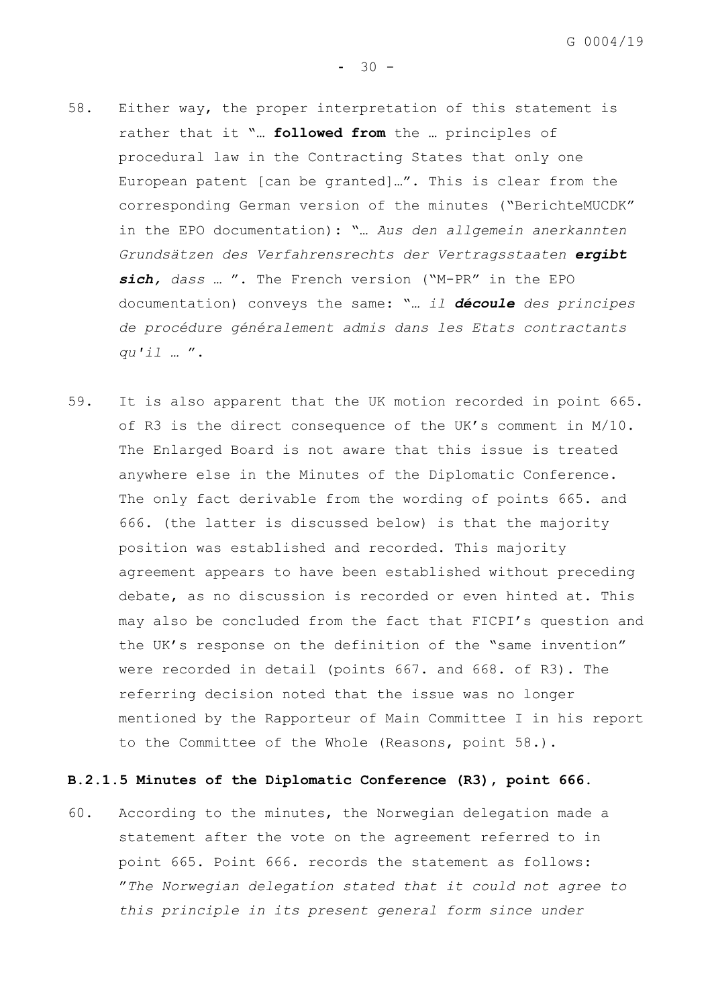- <span id="page-32-0"></span>58. Either way, the proper interpretation of this statement is rather that it "… **followed from** the … principles of procedural law in the Contracting States that only one European patent [can be granted]…". This is clear from the corresponding German version of the minutes ("BerichteMUCDK" in the EPO documentation): "… *Aus den allgemein anerkannten Grundsätzen des Verfahrensrechts der Vertragsstaaten ergibt sich, dass …* ". The French version ("M-PR" in the EPO documentation) conveys the same: "*… il découle des principes de procédure généralement admis dans les Etats contractants qu'il …* ".
- <span id="page-32-1"></span>59. It is also apparent that the UK motion recorded in point 665. of R3 is the direct consequence of the UK's comment in M/10. The Enlarged Board is not aware that this issue is treated anywhere else in the Minutes of the Diplomatic Conference. The only fact derivable from the wording of points 665. and 666. (the latter is discussed below) is that the majority position was established and recorded. This majority agreement appears to have been established without preceding debate, as no discussion is recorded or even hinted at. This may also be concluded from the fact that FICPI's question and the UK's response on the definition of the "same invention" were recorded in detail (points 667. and 668. of R3). The referring decision noted that the issue was no longer mentioned by the Rapporteur of Main Committee I in his report to the Committee of the Whole (Reasons, point 58.).

# **B.2.1.5 Minutes of the Diplomatic Conference (R3), point 666.**

<span id="page-32-2"></span>60. According to the minutes, the Norwegian delegation made a statement after the vote on the agreement referred to in point 665. Point 666. records the statement as follows: "*The Norwegian delegation stated that it could not agree to this principle in its present general form since under*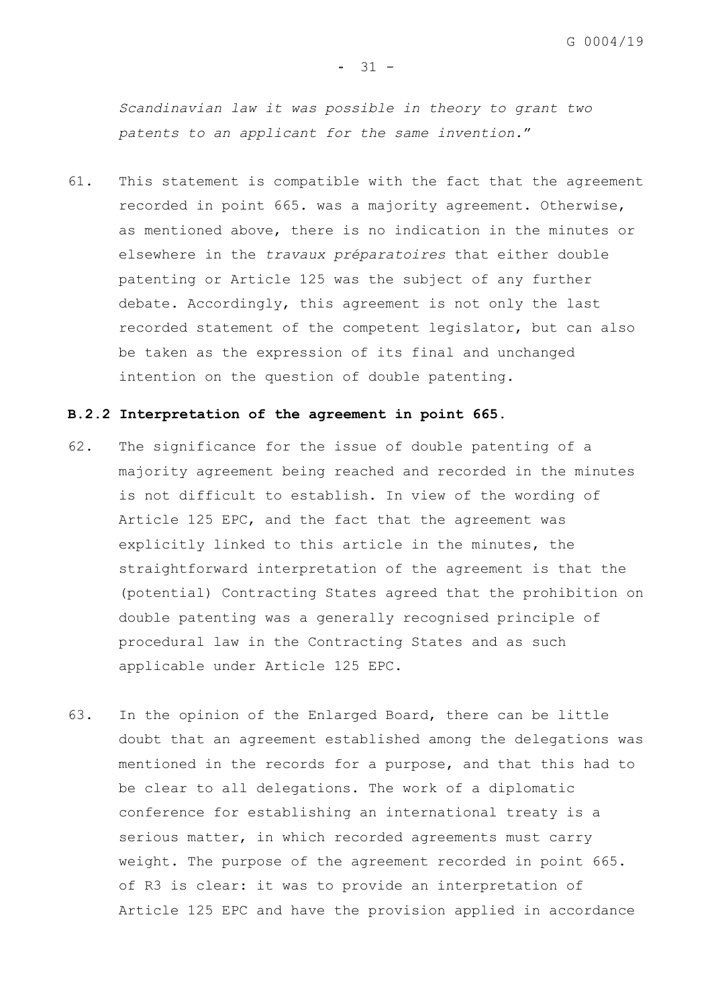#### $-31 -$

*Scandinavian law it was possible in theory to grant two patents to an applicant for the same invention.*"

61. This statement is compatible with the fact that the agreement recorded in point 665. was a majority agreement. Otherwise, as mentioned above, there is no indication in the minutes or elsewhere in the *travaux préparatoires* that either double patenting or Article 125 was the subject of any further debate. Accordingly, this agreement is not only the last recorded statement of the competent legislator, but can also be taken as the expression of its final and unchanged intention on the question of double patenting.

## **B.2.2 Interpretation of the agreement in point 665.**

- 62. The significance for the issue of double patenting of a majority agreement being reached and recorded in the minutes is not difficult to establish. In view of the wording of Article 125 EPC, and the fact that the agreement was explicitly linked to this article in the minutes, the straightforward interpretation of the agreement is that the (potential) Contracting States agreed that the prohibition on double patenting was a generally recognised principle of procedural law in the Contracting States and as such applicable under Article 125 EPC.
- 63. In the opinion of the Enlarged Board, there can be little doubt that an agreement established among the delegations was mentioned in the records for a purpose, and that this had to be clear to all delegations. The work of a diplomatic conference for establishing an international treaty is a serious matter, in which recorded agreements must carry weight. The purpose of the agreement recorded in point 665. of R3 is clear: it was to provide an interpretation of Article 125 EPC and have the provision applied in accordance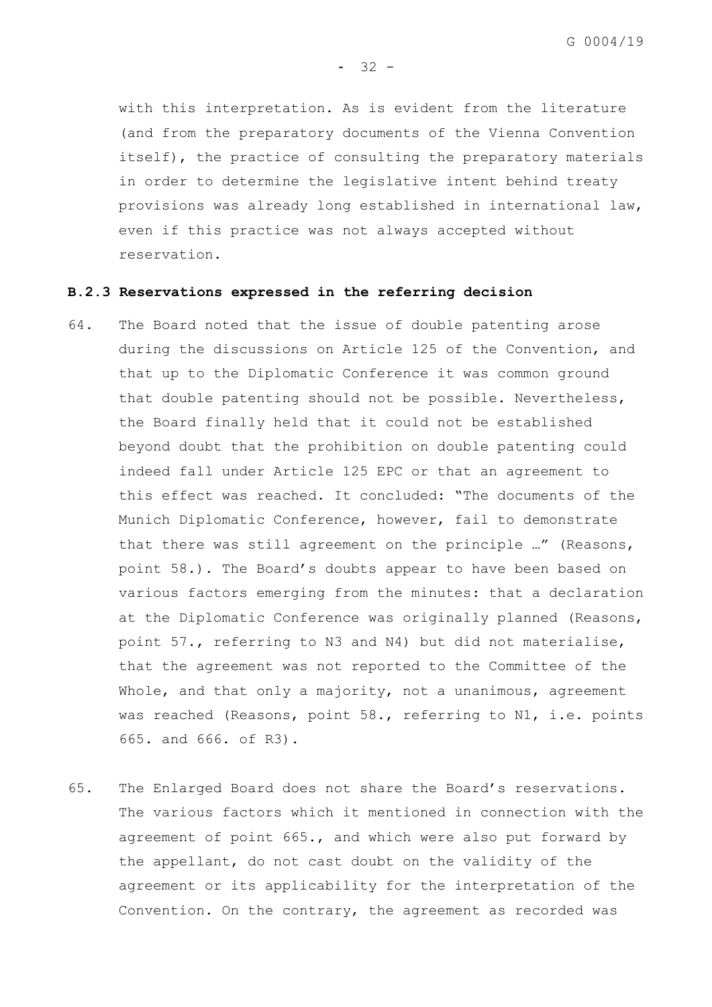with this interpretation. As is evident from the literature (and from the preparatory documents of the Vienna Convention itself), the practice of consulting the preparatory materials in order to determine the legislative intent behind treaty provisions was already long established in international law, even if this practice was not always accepted without reservation.

 $-32 -$ 

#### **B.2.3 Reservations expressed in the referring decision**

- 64. The Board noted that the issue of double patenting arose during the discussions on Article 125 of the Convention, and that up to the Diplomatic Conference it was common ground that double patenting should not be possible. Nevertheless, the Board finally held that it could not be established beyond doubt that the prohibition on double patenting could indeed fall under Article 125 EPC or that an agreement to this effect was reached. It concluded: "The documents of the Munich Diplomatic Conference, however, fail to demonstrate that there was still agreement on the principle …" (Reasons, point 58.). The Board's doubts appear to have been based on various factors emerging from the minutes: that a declaration at the Diplomatic Conference was originally planned (Reasons, point 57., referring to N3 and N4) but did not materialise, that the agreement was not reported to the Committee of the Whole, and that only a majority, not a unanimous, agreement was reached (Reasons, point 58., referring to N1, i.e. points 665. and 666. of R3).
- 65. The Enlarged Board does not share the Board's reservations. The various factors which it mentioned in connection with the agreement of point 665., and which were also put forward by the appellant, do not cast doubt on the validity of the agreement or its applicability for the interpretation of the Convention. On the contrary, the agreement as recorded was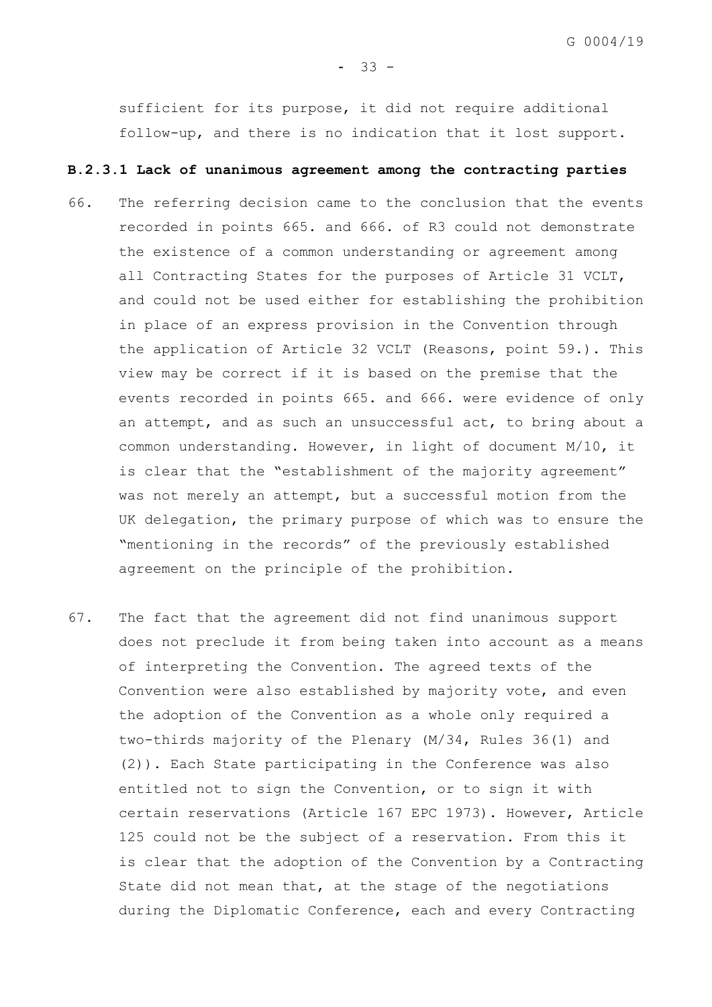sufficient for its purpose, it did not require additional follow-up, and there is no indication that it lost support.

#### **B.2.3.1 Lack of unanimous agreement among the contracting parties**

- 66. The referring decision came to the conclusion that the events recorded in points 665. and 666. of R3 could not demonstrate the existence of a common understanding or agreement among all Contracting States for the purposes of Article 31 VCLT, and could not be used either for establishing the prohibition in place of an express provision in the Convention through the application of Article 32 VCLT (Reasons, point 59.). This view may be correct if it is based on the premise that the events recorded in points 665. and 666. were evidence of only an attempt, and as such an unsuccessful act, to bring about a common understanding. However, in light of document M/10, it is clear that the "establishment of the majority agreement" was not merely an attempt, but a successful motion from the UK delegation, the primary purpose of which was to ensure the "mentioning in the records" of the previously established agreement on the principle of the prohibition.
- 67. The fact that the agreement did not find unanimous support does not preclude it from being taken into account as a means of interpreting the Convention. The agreed texts of the Convention were also established by majority vote, and even the adoption of the Convention as a whole only required a two-thirds majority of the Plenary (M/34, Rules 36(1) and (2)). Each State participating in the Conference was also entitled not to sign the Convention, or to sign it with certain reservations (Article 167 EPC 1973). However, Article 125 could not be the subject of a reservation. From this it is clear that the adoption of the Convention by a Contracting State did not mean that, at the stage of the negotiations during the Diplomatic Conference, each and every Contracting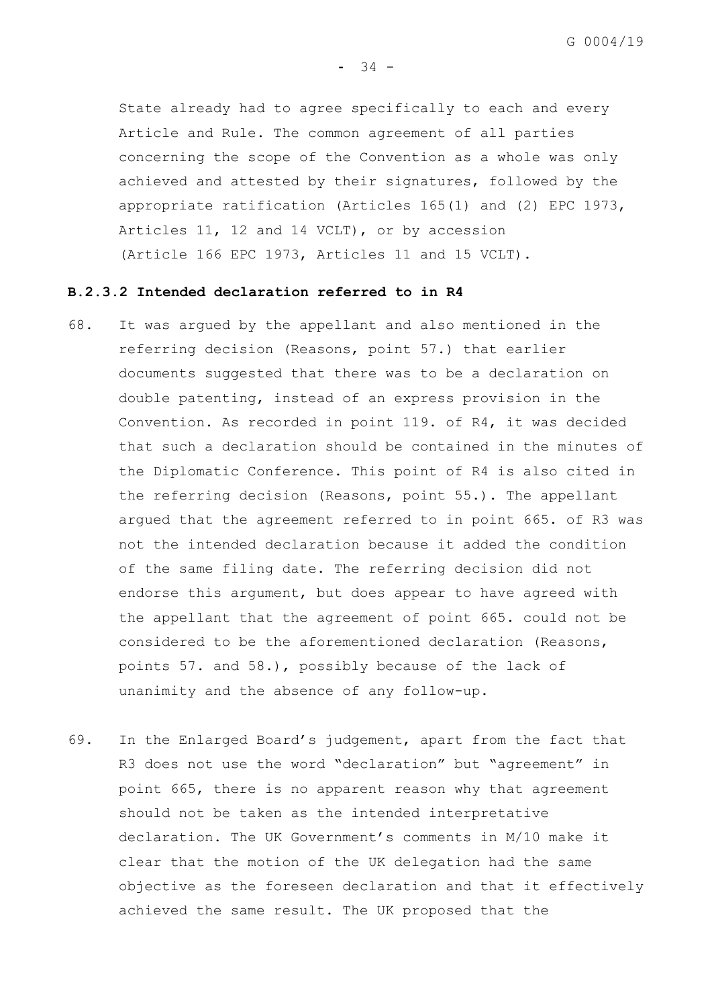State already had to agree specifically to each and every Article and Rule. The common agreement of all parties concerning the scope of the Convention as a whole was only achieved and attested by their signatures, followed by the appropriate ratification (Articles 165(1) and (2) EPC 1973, Articles 11, 12 and 14 VCLT), or by accession (Article 166 EPC 1973, Articles 11 and 15 VCLT).

### **B.2.3.2 Intended declaration referred to in R4**

- 68. It was argued by the appellant and also mentioned in the referring decision (Reasons, point 57.) that earlier documents suggested that there was to be a declaration on double patenting, instead of an express provision in the Convention. As recorded in point 119. of R4, it was decided that such a declaration should be contained in the minutes of the Diplomatic Conference. This point of R4 is also cited in the referring decision (Reasons, point 55.). The appellant argued that the agreement referred to in point 665. of R3 was not the intended declaration because it added the condition of the same filing date. The referring decision did not endorse this argument, but does appear to have agreed with the appellant that the agreement of point 665. could not be considered to be the aforementioned declaration (Reasons, points 57. and 58.), possibly because of the lack of unanimity and the absence of any follow-up.
- 69. In the Enlarged Board's judgement, apart from the fact that R3 does not use the word "declaration" but "agreement" in point 665, there is no apparent reason why that agreement should not be taken as the intended interpretative declaration. The UK Government's comments in M/10 make it clear that the motion of the UK delegation had the same objective as the foreseen declaration and that it effectively achieved the same result. The UK proposed that the

 $-34 -$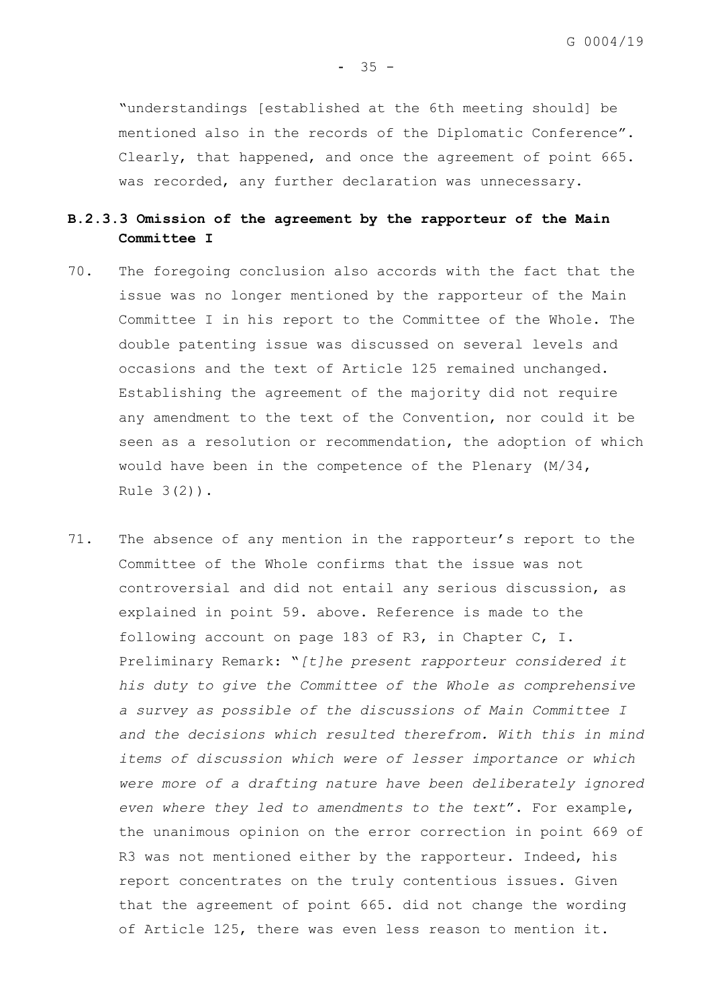$-35 -$ 

"understandings [established at the 6th meeting should] be mentioned also in the records of the Diplomatic Conference". Clearly, that happened, and once the agreement of point 665. was recorded, any further declaration was unnecessary.

# **B.2.3.3 Omission of the agreement by the rapporteur of the Main Committee I**

- 70. The foregoing conclusion also accords with the fact that the issue was no longer mentioned by the rapporteur of the Main Committee I in his report to the Committee of the Whole. The double patenting issue was discussed on several levels and occasions and the text of Article 125 remained unchanged. Establishing the agreement of the majority did not require any amendment to the text of the Convention, nor could it be seen as a resolution or recommendation, the adoption of which would have been in the competence of the Plenary (M/34, Rule 3(2)).
- 71. The absence of any mention in the rapporteur's report to the Committee of the Whole confirms that the issue was not controversial and did not entail any serious discussion, as explained in point [59.](#page-32-1) above. Reference is made to the following account on page 183 of R3, in Chapter C, I. Preliminary Remark: "*[t]he present rapporteur considered it his duty to give the Committee of the Whole as comprehensive a survey as possible of the discussions of Main Committee I and the decisions which resulted therefrom. With this in mind items of discussion which were of lesser importance or which were more of a drafting nature have been deliberately ignored even where they led to amendments to the text*". For example, the unanimous opinion on the error correction in point 669 of R3 was not mentioned either by the rapporteur. Indeed, his report concentrates on the truly contentious issues. Given that the agreement of point 665. did not change the wording of Article 125, there was even less reason to mention it.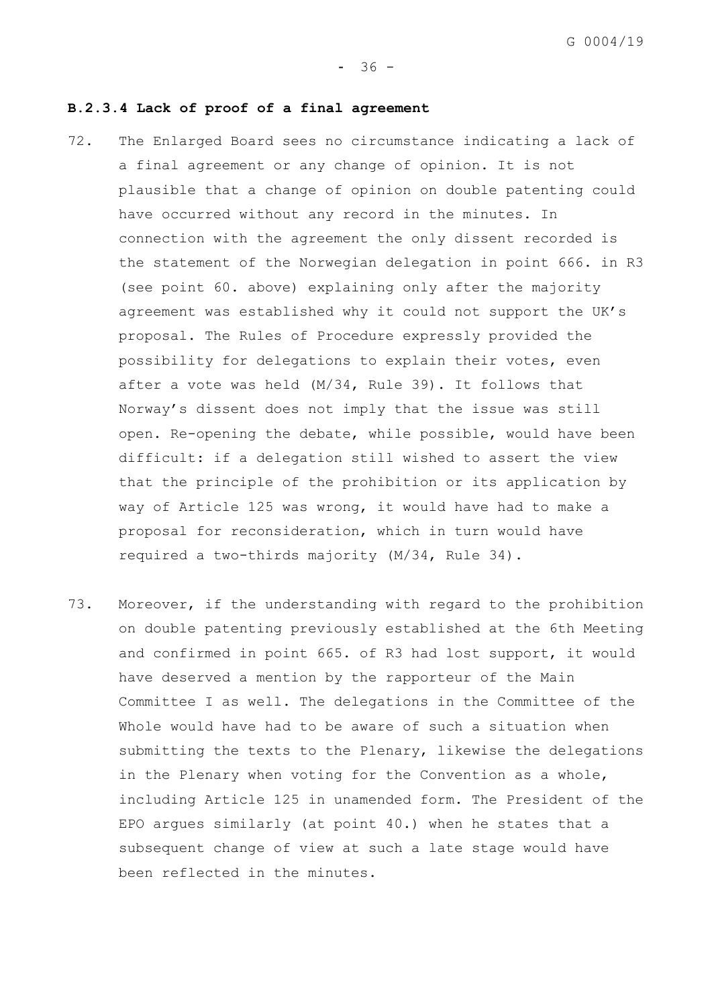#### $-36 -$

#### **B.2.3.4 Lack of proof of a final agreement**

- 72. The Enlarged Board sees no circumstance indicating a lack of a final agreement or any change of opinion. It is not plausible that a change of opinion on double patenting could have occurred without any record in the minutes. In connection with the agreement the only dissent recorded is the statement of the Norwegian delegation in point 666. in R3 (see point [60.](#page-32-2) above) explaining only after the majority agreement was established why it could not support the UK's proposal. The Rules of Procedure expressly provided the possibility for delegations to explain their votes, even after a vote was held (M/34, Rule 39). It follows that Norway's dissent does not imply that the issue was still open. Re-opening the debate, while possible, would have been difficult: if a delegation still wished to assert the view that the principle of the prohibition or its application by way of Article 125 was wrong, it would have had to make a proposal for reconsideration, which in turn would have required a two-thirds majority (M/34, Rule 34).
- 73. Moreover, if the understanding with regard to the prohibition on double patenting previously established at the 6th Meeting and confirmed in point 665. of R3 had lost support, it would have deserved a mention by the rapporteur of the Main Committee I as well. The delegations in the Committee of the Whole would have had to be aware of such a situation when submitting the texts to the Plenary, likewise the delegations in the Plenary when voting for the Convention as a whole, including Article 125 in unamended form. The President of the EPO argues similarly (at point 40.) when he states that a subsequent change of view at such a late stage would have been reflected in the minutes.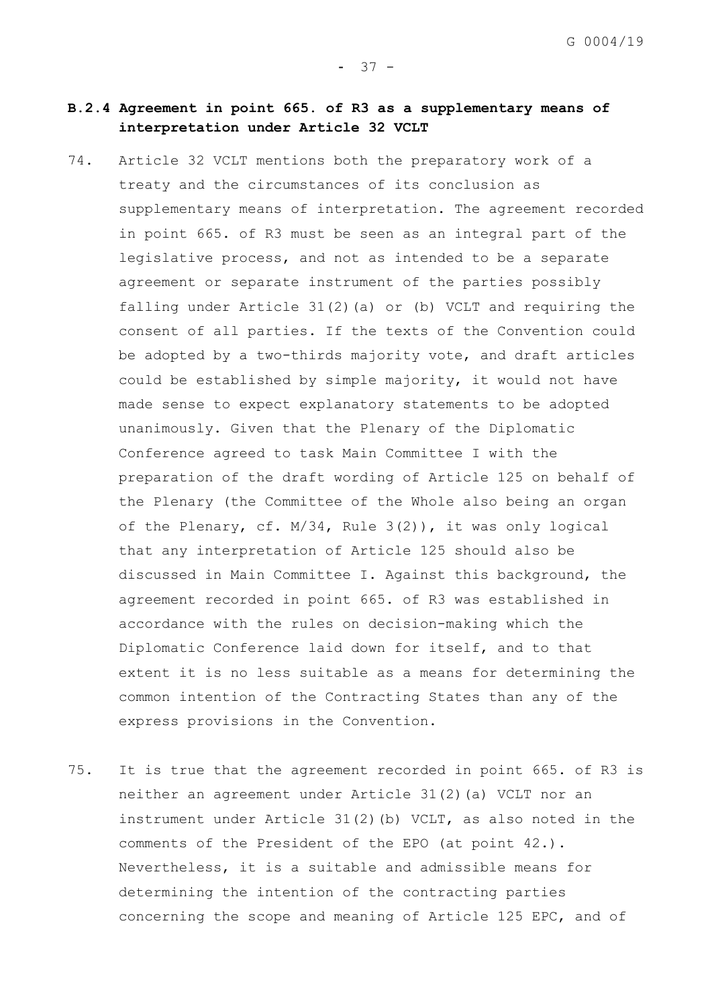# **B.2.4 Agreement in point 665. of R3 as a supplementary means of interpretation under Article 32 VCLT**

- 74. Article 32 VCLT mentions both the preparatory work of a treaty and the circumstances of its conclusion as supplementary means of interpretation. The agreement recorded in point 665. of R3 must be seen as an integral part of the legislative process, and not as intended to be a separate agreement or separate instrument of the parties possibly falling under Article 31(2)(a) or (b) VCLT and requiring the consent of all parties. If the texts of the Convention could be adopted by a two-thirds majority vote, and draft articles could be established by simple majority, it would not have made sense to expect explanatory statements to be adopted unanimously. Given that the Plenary of the Diplomatic Conference agreed to task Main Committee I with the preparation of the draft wording of Article 125 on behalf of the Plenary (the Committee of the Whole also being an organ of the Plenary, cf. M/34, Rule 3(2)), it was only logical that any interpretation of Article 125 should also be discussed in Main Committee I. Against this background, the agreement recorded in point 665. of R3 was established in accordance with the rules on decision-making which the Diplomatic Conference laid down for itself, and to that extent it is no less suitable as a means for determining the common intention of the Contracting States than any of the express provisions in the Convention.
- 75. It is true that the agreement recorded in point 665. of R3 is neither an agreement under Article 31(2)(a) VCLT nor an instrument under Article 31(2)(b) VCLT, as also noted in the comments of the President of the EPO (at point 42.). Nevertheless, it is a suitable and admissible means for determining the intention of the contracting parties concerning the scope and meaning of Article 125 EPC, and of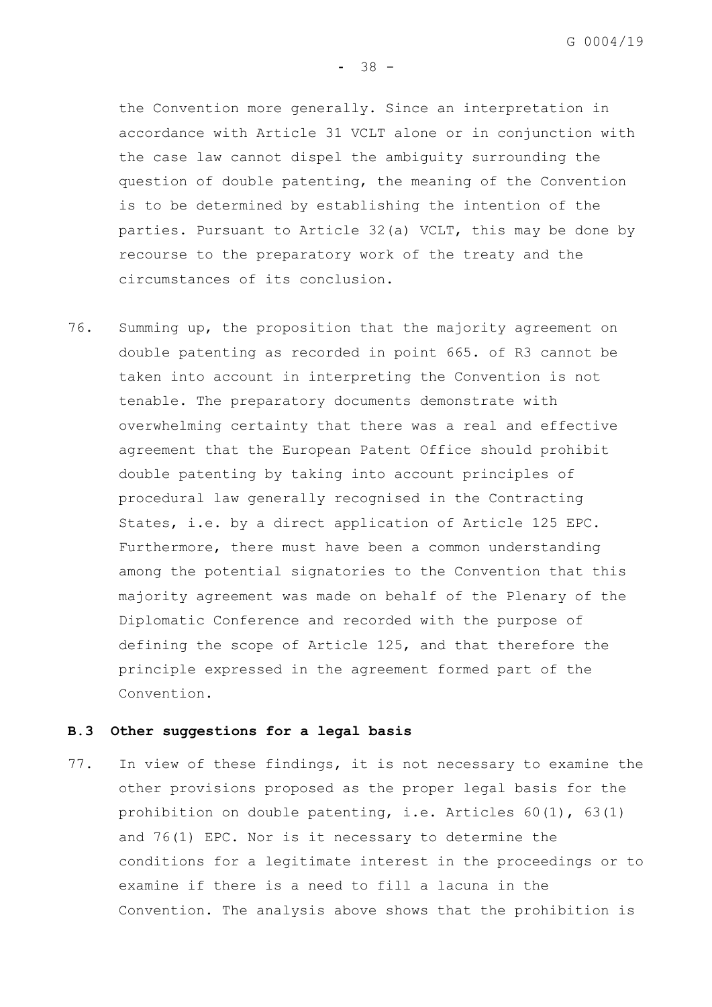$-38 -$ 

the Convention more generally. Since an interpretation in accordance with Article 31 VCLT alone or in conjunction with the case law cannot dispel the ambiguity surrounding the question of double patenting, the meaning of the Convention is to be determined by establishing the intention of the parties. Pursuant to Article 32(a) VCLT, this may be done by recourse to the preparatory work of the treaty and the circumstances of its conclusion.

76. Summing up, the proposition that the majority agreement on double patenting as recorded in point 665. of R3 cannot be taken into account in interpreting the Convention is not tenable. The preparatory documents demonstrate with overwhelming certainty that there was a real and effective agreement that the European Patent Office should prohibit double patenting by taking into account principles of procedural law generally recognised in the Contracting States, i.e. by a direct application of Article 125 EPC. Furthermore, there must have been a common understanding among the potential signatories to the Convention that this majority agreement was made on behalf of the Plenary of the Diplomatic Conference and recorded with the purpose of defining the scope of Article 125, and that therefore the principle expressed in the agreement formed part of the Convention.

### **B.3 Other suggestions for a legal basis**

77. In view of these findings, it is not necessary to examine the other provisions proposed as the proper legal basis for the prohibition on double patenting, i.e. Articles 60(1), 63(1) and 76(1) EPC. Nor is it necessary to determine the conditions for a legitimate interest in the proceedings or to examine if there is a need to fill a lacuna in the Convention. The analysis above shows that the prohibition is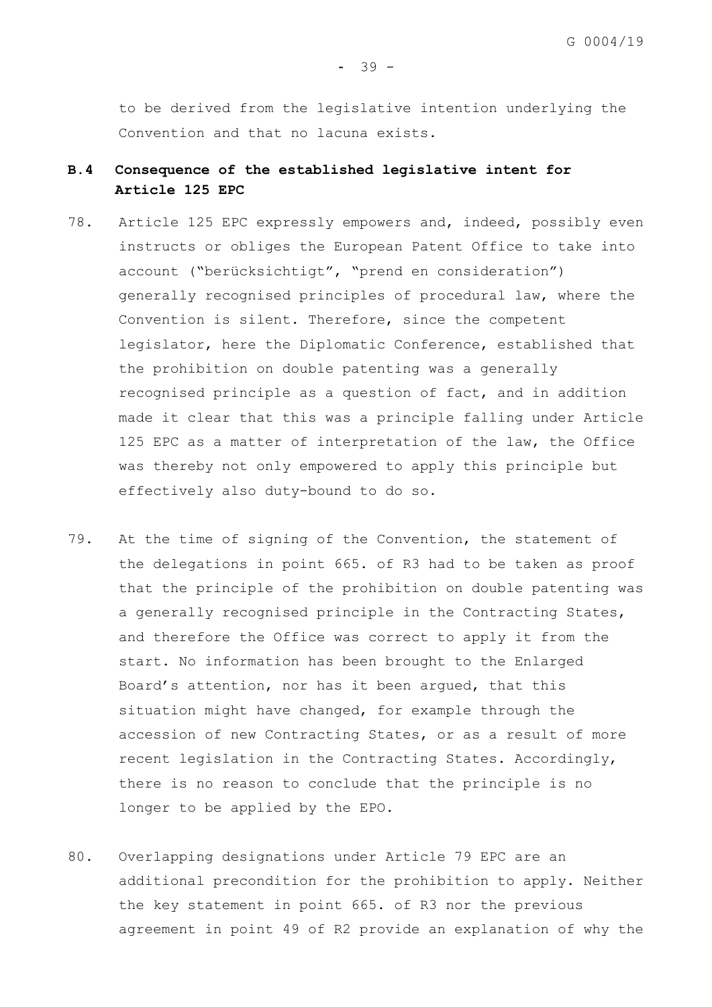to be derived from the legislative intention underlying the Convention and that no lacuna exists.

# **B.4 Consequence of the established legislative intent for Article 125 EPC**

- 78. Article 125 EPC expressly empowers and, indeed, possibly even instructs or obliges the European Patent Office to take into account ("berücksichtigt", "prend en consideration") generally recognised principles of procedural law, where the Convention is silent. Therefore, since the competent legislator, here the Diplomatic Conference, established that the prohibition on double patenting was a generally recognised principle as a question of fact, and in addition made it clear that this was a principle falling under Article 125 EPC as a matter of interpretation of the law, the Office was thereby not only empowered to apply this principle but effectively also duty-bound to do so.
- 79. At the time of signing of the Convention, the statement of the delegations in point 665. of R3 had to be taken as proof that the principle of the prohibition on double patenting was a generally recognised principle in the Contracting States, and therefore the Office was correct to apply it from the start. No information has been brought to the Enlarged Board's attention, nor has it been argued, that this situation might have changed, for example through the accession of new Contracting States, or as a result of more recent legislation in the Contracting States. Accordingly, there is no reason to conclude that the principle is no longer to be applied by the EPO.
- <span id="page-41-0"></span>80. Overlapping designations under Article 79 EPC are an additional precondition for the prohibition to apply. Neither the key statement in point 665. of R3 nor the previous agreement in point 49 of R2 provide an explanation of why the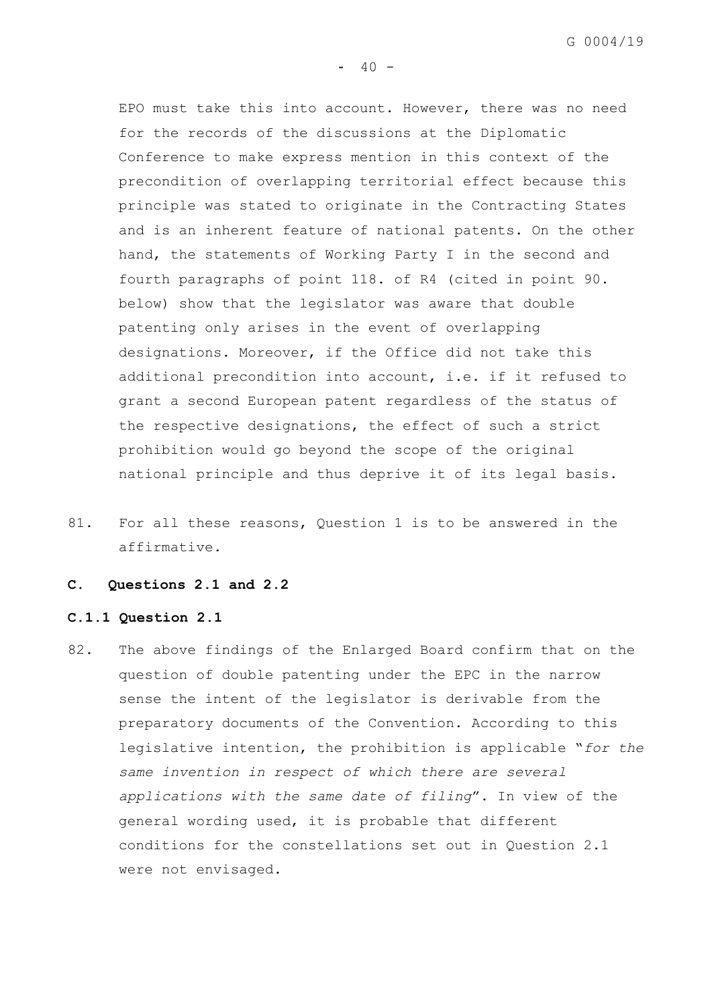G 0004/19

EPO must take this into account. However, there was no need for the records of the discussions at the Diplomatic Conference to make express mention in this context of the precondition of overlapping territorial effect because this principle was stated to originate in the Contracting States and is an inherent feature of national patents. On the other hand, the statements of Working Party I in the second and fourth paragraphs of point 118. of R4 (cited in point [90.](#page-47-0) below) show that the legislator was aware that double patenting only arises in the event of overlapping designations. Moreover, if the Office did not take this additional precondition into account, i.e. if it refused to grant a second European patent regardless of the status of the respective designations, the effect of such a strict prohibition would go beyond the scope of the original national principle and thus deprive it of its legal basis.

81. For all these reasons, Question 1 is to be answered in the affirmative.

## **C. Questions 2.1 and 2.2**

#### **C.1.1 Question 2.1**

82. The above findings of the Enlarged Board confirm that on the question of double patenting under the EPC in the narrow sense the intent of the legislator is derivable from the preparatory documents of the Convention. According to this legislative intention, the prohibition is applicable "*for the same invention in respect of which there are several applications with the same date of filing*". In view of the general wording used, it is probable that different conditions for the constellations set out in Question 2.1 were not envisaged.

 $40 -$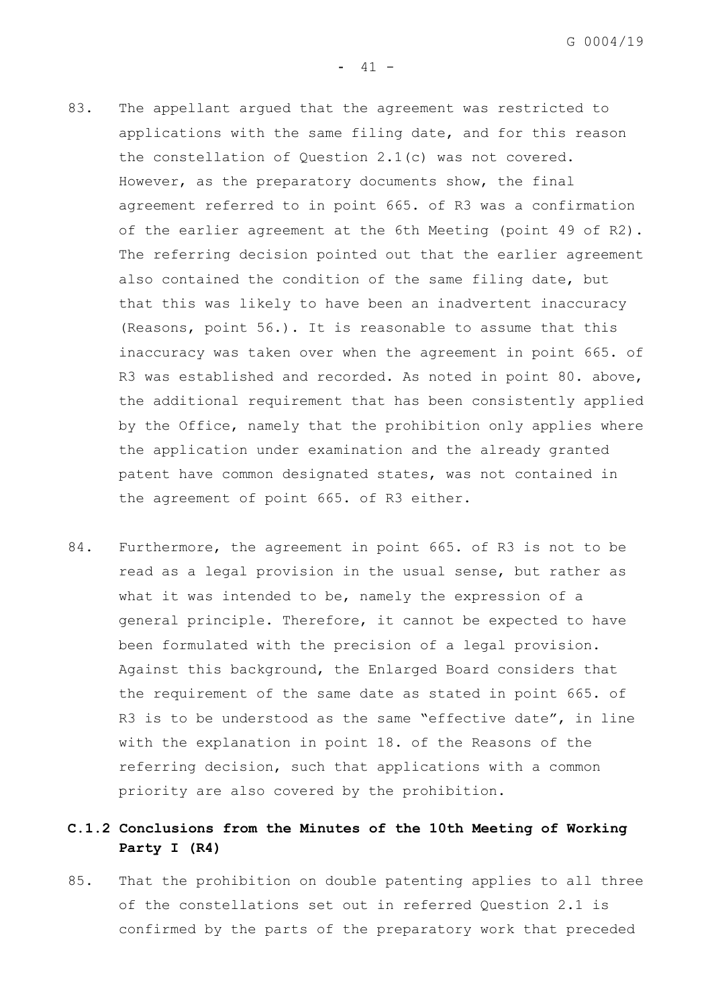- 83. The appellant argued that the agreement was restricted to applications with the same filing date, and for this reason the constellation of Question 2.1(c) was not covered. However, as the preparatory documents show, the final agreement referred to in point 665. of R3 was a confirmation of the earlier agreement at the 6th Meeting (point 49 of R2). The referring decision pointed out that the earlier agreement also contained the condition of the same filing date, but that this was likely to have been an inadvertent inaccuracy (Reasons, point 56.). It is reasonable to assume that this inaccuracy was taken over when the agreement in point 665. of R3 was established and recorded. As noted in point [80.](#page-41-0) above, the additional requirement that has been consistently applied by the Office, namely that the prohibition only applies where the application under examination and the already granted patent have common designated states, was not contained in the agreement of point 665. of R3 either.
- 84. Furthermore, the agreement in point 665. of R3 is not to be read as a legal provision in the usual sense, but rather as what it was intended to be, namely the expression of a general principle. Therefore, it cannot be expected to have been formulated with the precision of a legal provision. Against this background, the Enlarged Board considers that the requirement of the same date as stated in point 665. of R3 is to be understood as the same "effective date", in line with the explanation in point 18. of the Reasons of the referring decision, such that applications with a common priority are also covered by the prohibition.

# **C.1.2 Conclusions from the Minutes of the 10th Meeting of Working Party I (R4)**

85. That the prohibition on double patenting applies to all three of the constellations set out in referred Question 2.1 is confirmed by the parts of the preparatory work that preceded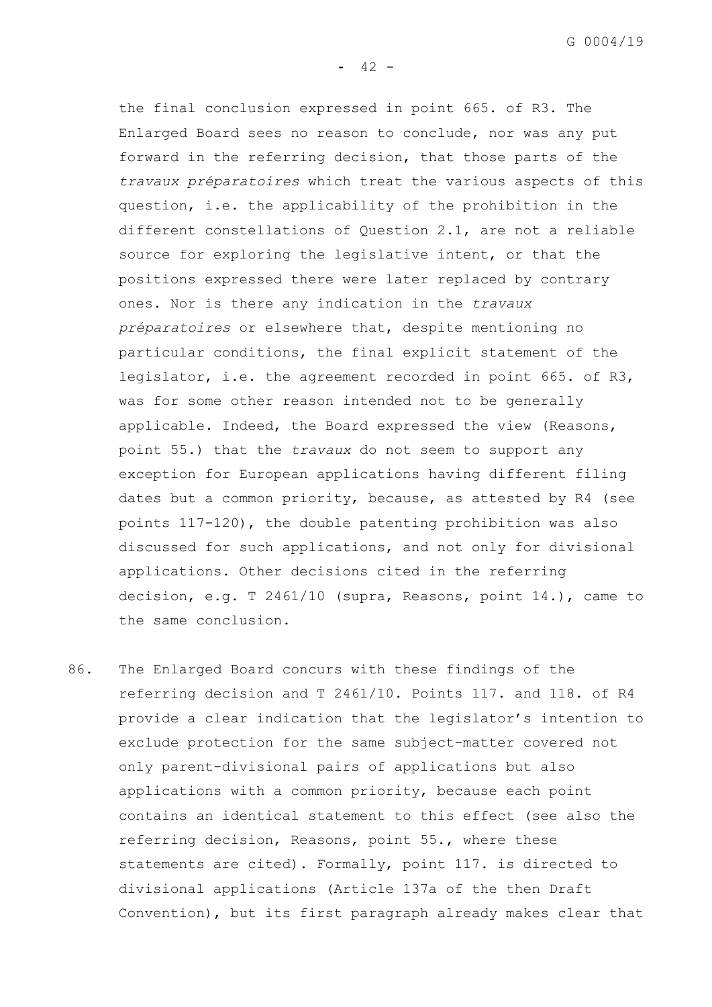G 0004/19

 $- 42 -$ 

the final conclusion expressed in point 665. of R3. The Enlarged Board sees no reason to conclude, nor was any put forward in the referring decision, that those parts of the *travaux préparatoires* which treat the various aspects of this question, i.e. the applicability of the prohibition in the different constellations of Question 2.1, are not a reliable source for exploring the legislative intent, or that the positions expressed there were later replaced by contrary ones. Nor is there any indication in the *travaux préparatoires* or elsewhere that, despite mentioning no particular conditions, the final explicit statement of the legislator, i.e. the agreement recorded in point 665. of R3, was for some other reason intended not to be generally applicable. Indeed, the Board expressed the view (Reasons, point 55.) that the *travaux* do not seem to support any exception for European applications having different filing dates but a common priority, because, as attested by R4 (see points 117-120), the double patenting prohibition was also discussed for such applications, and not only for divisional applications. Other decisions cited in the referring decision, e.g. T 2461/10 (supra, Reasons, point 14.), came to the same conclusion.

86. The Enlarged Board concurs with these findings of the referring decision and T 2461/10. Points 117. and 118. of R4 provide a clear indication that the legislator's intention to exclude protection for the same subject-matter covered not only parent-divisional pairs of applications but also applications with a common priority, because each point contains an identical statement to this effect (see also the referring decision, Reasons, point 55., where these statements are cited). Formally, point 117. is directed to divisional applications (Article 137a of the then Draft Convention), but its first paragraph already makes clear that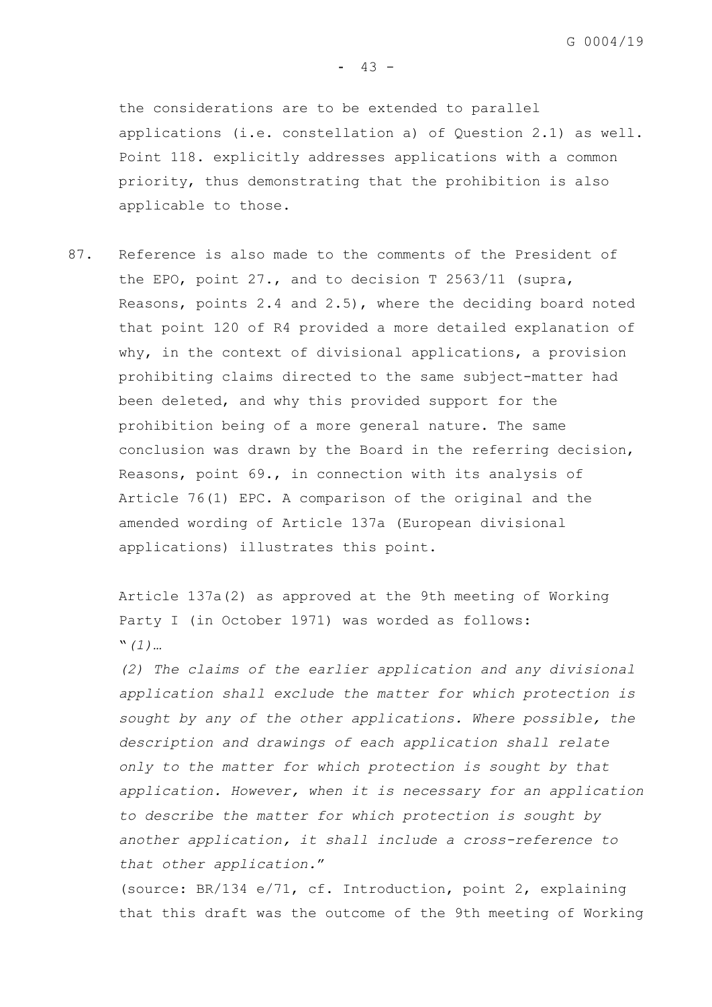the considerations are to be extended to parallel applications (i.e. constellation a) of Question 2.1) as well. Point 118. explicitly addresses applications with a common priority, thus demonstrating that the prohibition is also applicable to those.

87. Reference is also made to the comments of the President of the EPO, point 27., and to decision T 2563/11 (supra, Reasons, points 2.4 and 2.5), where the deciding board noted that point 120 of R4 provided a more detailed explanation of why, in the context of divisional applications, a provision prohibiting claims directed to the same subject-matter had been deleted, and why this provided support for the prohibition being of a more general nature. The same conclusion was drawn by the Board in the referring decision, Reasons, point 69., in connection with its analysis of Article 76(1) EPC. A comparison of the original and the amended wording of Article 137a (European divisional applications) illustrates this point.

Article 137a(2) as approved at the 9th meeting of Working Party I (in October 1971) was worded as follows: "*(1)…*

*(2) The claims of the earlier application and any divisional application shall exclude the matter for which protection is sought by any of the other applications. Where possible, the description and drawings of each application shall relate only to the matter for which protection is sought by that application. However, when it is necessary for an application to describe the matter for which protection is sought by another application, it shall include a cross-reference to that other application.*"

(source: BR/134 e/71, cf. Introduction, point 2, explaining that this draft was the outcome of the 9th meeting of Working

 $- 43 -$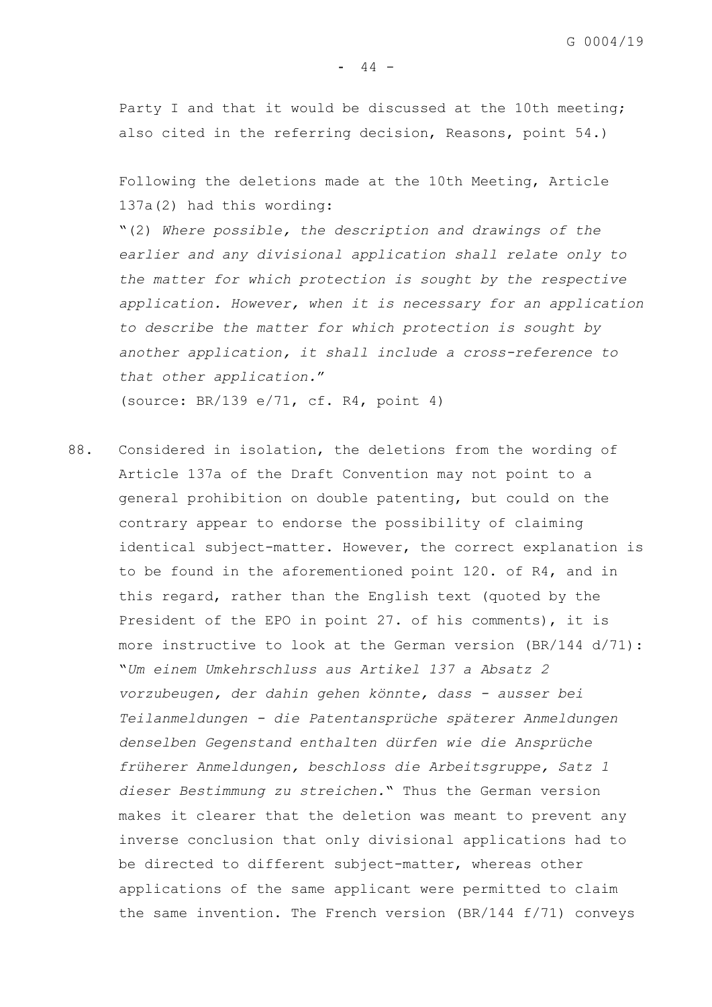Party I and that it would be discussed at the 10th meeting; also cited in the referring decision, Reasons, point 54.)

Following the deletions made at the 10th Meeting, Article 137a(2) had this wording:

"(2) *Where possible, the description and drawings of the earlier and any divisional application shall relate only to the matter for which protection is sought by the respective application. However, when it is necessary for an application to describe the matter for which protection is sought by another application, it shall include a cross-reference to that other application.*" (source: BR/139 e/71, cf. R4, point 4)

88. Considered in isolation, the deletions from the wording of Article 137a of the Draft Convention may not point to a general prohibition on double patenting, but could on the contrary appear to endorse the possibility of claiming identical subject-matter. However, the correct explanation is to be found in the aforementioned point 120. of R4, and in this regard, rather than the English text (quoted by the President of the EPO in point 27. of his comments), it is more instructive to look at the German version (BR/144 d/71): "*Um einem Umkehrschluss aus Artikel 137 a Absatz 2 vorzubeugen, der dahin gehen könnte, dass - ausser bei Teilanmeldungen - die Patentansprüche späterer Anmeldungen denselben Gegenstand enthalten dürfen wie die Ansprüche früherer Anmeldungen, beschloss die Arbeitsgruppe, Satz 1 dieser Bestimmung zu streichen.*" Thus the German version makes it clearer that the deletion was meant to prevent any inverse conclusion that only divisional applications had to be directed to different subject-matter, whereas other applications of the same applicant were permitted to claim the same invention. The French version (BR/144 f/71) conveys

 $- 44 -$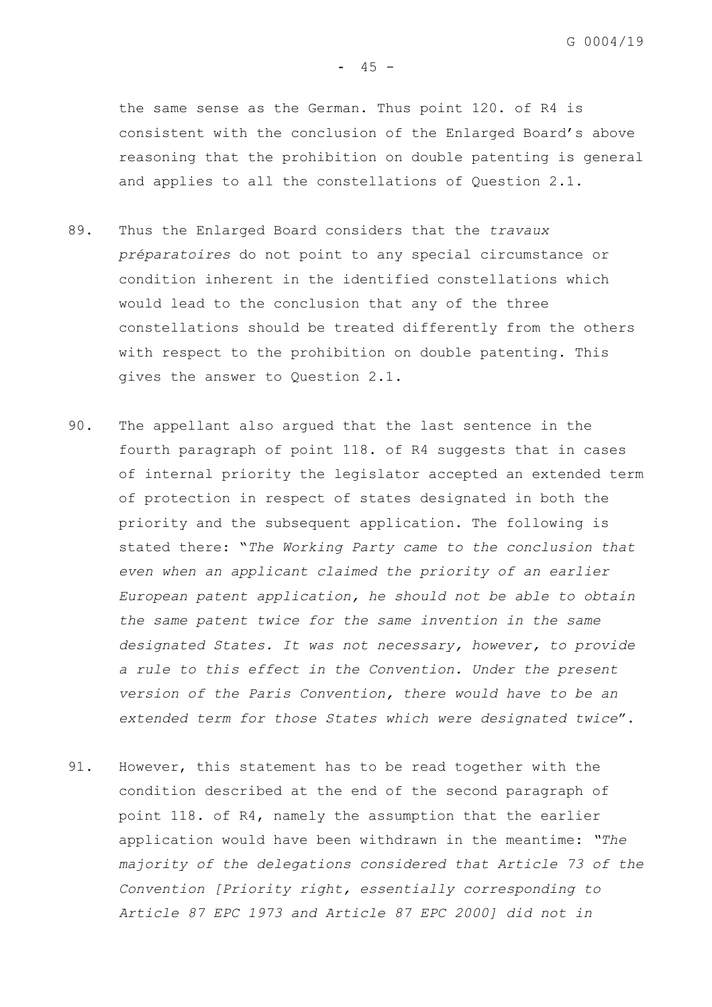the same sense as the German. Thus point 120. of R4 is consistent with the conclusion of the Enlarged Board's above reasoning that the prohibition on double patenting is general and applies to all the constellations of Question 2.1.

- 89. Thus the Enlarged Board considers that the *travaux préparatoires* do not point to any special circumstance or condition inherent in the identified constellations which would lead to the conclusion that any of the three constellations should be treated differently from the others with respect to the prohibition on double patenting. This gives the answer to Question 2.1.
- <span id="page-47-0"></span>90. The appellant also argued that the last sentence in the fourth paragraph of point 118. of R4 suggests that in cases of internal priority the legislator accepted an extended term of protection in respect of states designated in both the priority and the subsequent application. The following is stated there: "*The Working Party came to the conclusion that even when an applicant claimed the priority of an earlier European patent application, he should not be able to obtain the same patent twice for the same invention in the same designated States. It was not necessary, however, to provide a rule to this effect in the Convention. Under the present version of the Paris Convention, there would have to be an extended term for those States which were designated twice*".
- 91. However, this statement has to be read together with the condition described at the end of the second paragraph of point 118. of R4, namely the assumption that the earlier application would have been withdrawn in the meantime: *"The majority of the delegations considered that Article 73 of the Convention [Priority right, essentially corresponding to Article 87 EPC 1973 and Article 87 EPC 2000] did not in*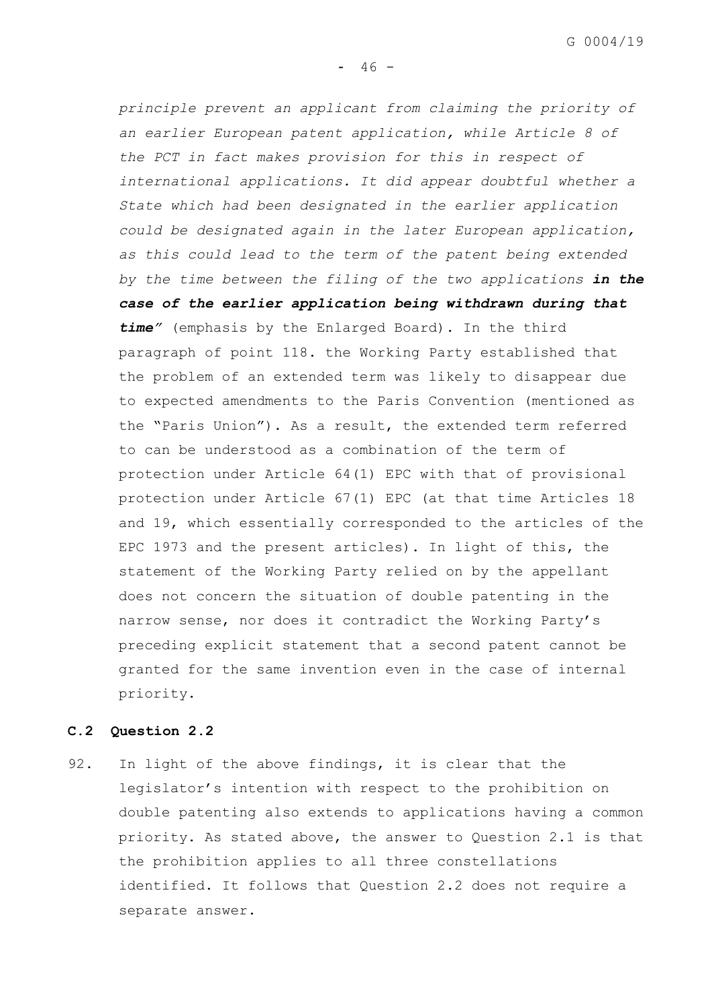G 0004/19

 $- 46 -$ 

*principle prevent an applicant from claiming the priority of an earlier European patent application, while Article 8 of the PCT in fact makes provision for this in respect of international applications. It did appear doubtful whether a State which had been designated in the earlier application could be designated again in the later European application, as this could lead to the term of the patent being extended by the time between the filing of the two applications in the case of the earlier application being withdrawn during that time"* (emphasis by the Enlarged Board). In the third paragraph of point 118. the Working Party established that the problem of an extended term was likely to disappear due to expected amendments to the Paris Convention (mentioned as the "Paris Union"). As a result, the extended term referred to can be understood as a combination of the term of protection under Article 64(1) EPC with that of provisional protection under Article 67(1) EPC (at that time Articles 18 and 19, which essentially corresponded to the articles of the EPC 1973 and the present articles). In light of this, the statement of the Working Party relied on by the appellant does not concern the situation of double patenting in the narrow sense, nor does it contradict the Working Party's preceding explicit statement that a second patent cannot be granted for the same invention even in the case of internal priority.

# **C.2 Question 2.2**

92. In light of the above findings, it is clear that the legislator's intention with respect to the prohibition on double patenting also extends to applications having a common priority. As stated above, the answer to Question 2.1 is that the prohibition applies to all three constellations identified. It follows that Question 2.2 does not require a separate answer.